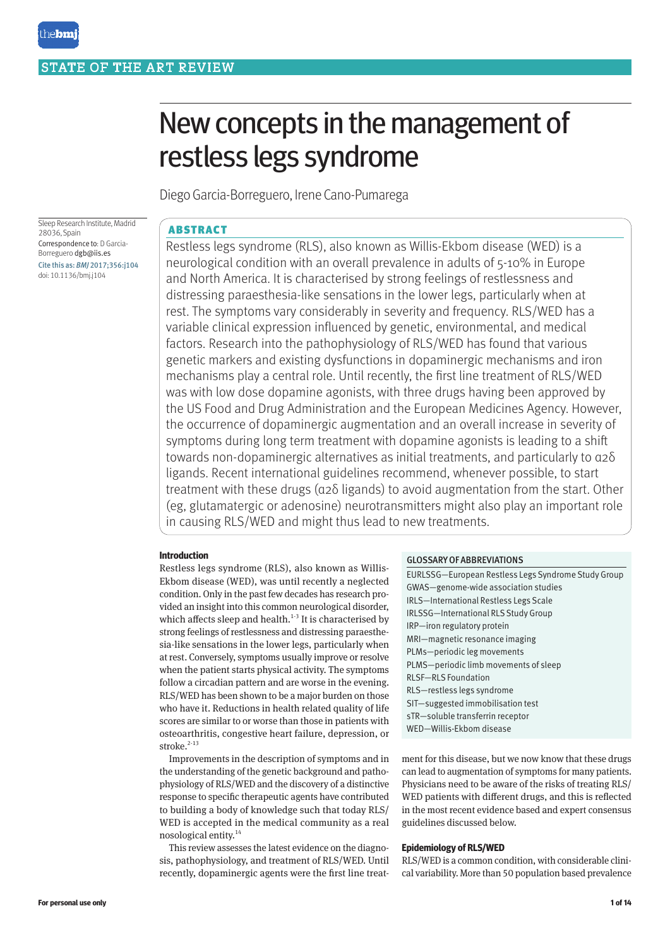# New concepts in the management of restless legs syndrome

Diego Garcia-Borreguero, Irene Cano-Pumarega

Sleep Research Institute, Madrid 28036, Spain Correspondence to: D Garcia-Borreguero dgb@iis.es Cite this as: *BMJ* 2017;356:j104 doi: 10.1136/bmj.j104

# ABSTRACT

Restless legs syndrome (RLS), also known as Willis-Ekbom disease (WED) is a neurological condition with an overall prevalence in adults of 5-10% in Europe and North America. It is characterised by strong feelings of restlessness and distressing paraesthesia-like sensations in the lower legs, particularly when at rest. The symptoms vary considerably in severity and frequency. RLS/WED has a variable clinical expression influenced by genetic, environmental, and medical factors. Research into the pathophysiology of RLS/WED has found that various genetic markers and existing dysfunctions in dopaminergic mechanisms and iron mechanisms play a central role. Until recently, the first line treatment of RLS/WED was with low dose dopamine agonists, with three drugs having been approved by the US Food and Drug Administration and the European Medicines Agency. However, the occurrence of dopaminergic augmentation and an overall increase in severity of symptoms during long term treatment with dopamine agonists is leading to a shift towards non-dopaminergic alternatives as initial treatments, and particularly to α2δ ligands. Recent international guidelines recommend, whenever possible, to start treatment with these drugs (α2δ ligands) to avoid augmentation from the start. Other (eg, glutamatergic or adenosine) neurotransmitters might also play an important role in causing RLS/WED and might thus lead to new treatments.

# **Introduction**

Restless legs syndrome (RLS), also known as Willis-Ekbom disease (WED), was until recently a neglected condition. Only in the past few decades has research provided an insight into this common neurological disorder, which affects sleep and health. $1-3$  It is characterised by strong feelings of restlessness and distressing paraesthesia-like sensations in the lower legs, particularly when at rest. Conversely, symptoms usually improve or resolve when the patient starts physical activity. The symptoms follow a circadian pattern and are worse in the evening. RLS/WED has been shown to be a major burden on those who have it. Reductions in health related quality of life scores are similar to or worse than those in patients with osteoarthritis, congestive heart failure, depression, or stroke. $2-13$ 

Improvements in the description of symptoms and in the understanding of the genetic background and pathophysiology of RLS/WED and the discovery of a distinctive response to specific therapeutic agents have contributed to building a body of knowledge such that today RLS/ WED is accepted in the medical community as a real nosological entity.14

This review assesses the latest evidence on the diagnosis, pathophysiology, and treatment of RLS/WED. Until recently, dopaminergic agents were the first line treat-

# GLOSSARY OF ABBREVIATIONS

| EURLSSG-European Restless Legs Syndrome Study Group |
|-----------------------------------------------------|
| GWAS-genome-wide association studies                |
| IRLS-International Restless Legs Scale              |
| IRLSSG-International RLS Study Group                |
| IRP-iron regulatory protein                         |
| MRI-magnetic resonance imaging                      |
| PLMs-periodic leg movements                         |
| PLMS-periodic limb movements of sleep               |
| <b>RLSF-RLS Foundation</b>                          |
| RLS-restless legs syndrome                          |
| SIT-suggested immobilisation test                   |
| sTR-soluble transferrin receptor                    |
| WED-Willis-Ekbom disease                            |

ment for this disease, but we now know that these drugs can lead to augmentation of symptoms for many patients. Physicians need to be aware of the risks of treating RLS/ WED patients with different drugs, and this is reflected in the most recent evidence based and expert consensus guidelines discussed below.

# **Epidemiology of RLS/WED**

RLS/WED is a common condition, with considerable clinical variability. More than 50 population based prevalence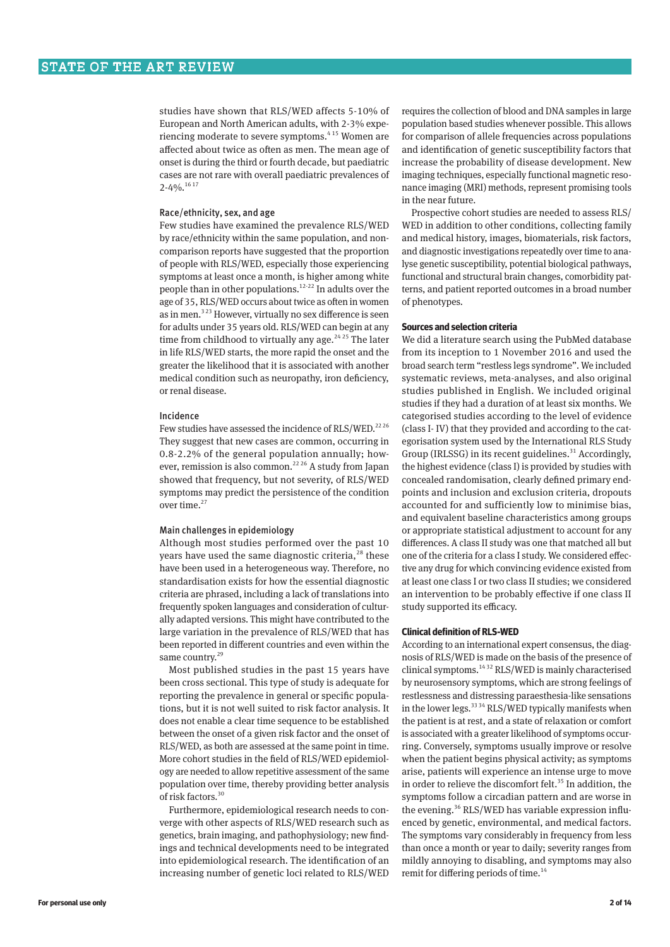studies have shown that RLS/WED affects 5-10% of European and North American adults, with 2-3% experiencing moderate to severe symptoms.<sup>415</sup> Women are affected about twice as often as men. The mean age of onset is during the third or fourth decade, but paediatric cases are not rare with overall paediatric prevalences of  $2 - 40/6$ <sup>16 17</sup>

# Race/ethnicity, sex, and age

Few studies have examined the prevalence RLS/WED by race/ethnicity within the same population, and noncomparison reports have suggested that the proportion of people with RLS/WED, especially those experiencing symptoms at least once a month, is higher among white people than in other populations.12-22 In adults over the age of 35, RLS/WED occurs about twice as often in women as in men.<sup>323</sup> However, virtually no sex difference is seen for adults under 35 years old. RLS/WED can begin at any time from childhood to virtually any age.<sup>24,25</sup> The later in life RLS/WED starts, the more rapid the onset and the greater the likelihood that it is associated with another medical condition such as neuropathy, iron deficiency, or renal disease.

#### Incidence

Few studies have assessed the incidence of RLS/WED.<sup>2226</sup> They suggest that new cases are common, occurring in 0.8-2.2% of the general population annually; however, remission is also common.<sup>22 26</sup> A study from Japan showed that frequency, but not severity, of RLS/WED symptoms may predict the persistence of the condition over time.<sup>27</sup>

# Main challenges in epidemiology

Although most studies performed over the past 10 years have used the same diagnostic criteria, $^{28}$  these have been used in a heterogeneous way. Therefore, no standardisation exists for how the essential diagnostic criteria are phrased, including a lack of translations into frequently spoken languages and consideration of culturally adapted versions. This might have contributed to the large variation in the prevalence of RLS/WED that has been reported in different countries and even within the same country.<sup>29</sup>

Most published studies in the past 15 years have been cross sectional. This type of study is adequate for reporting the prevalence in general or specific populations, but it is not well suited to risk factor analysis. It does not enable a clear time sequence to be established between the onset of a given risk factor and the onset of RLS/WED, as both are assessed at the same point in time. More cohort studies in the field of RLS/WED epidemiology are needed to allow repetitive assessment of the same population over time, thereby providing better analysis of risk factors.30

Furthermore, epidemiological research needs to converge with other aspects of RLS/WED research such as genetics, brain imaging, and pathophysiology; new findings and technical developments need to be integrated into epidemiological research. The identification of an increasing number of genetic loci related to RLS/WED

requires the collection of blood and DNA samples in large population based studies whenever possible. This allows for comparison of allele frequencies across populations and identification of genetic susceptibility factors that increase the probability of disease development. New imaging techniques, especially functional magnetic resonance imaging (MRI) methods, represent promising tools in the near future.

Prospective cohort studies are needed to assess RLS/ WED in addition to other conditions, collecting family and medical history, images, biomaterials, risk factors, and diagnostic investigations repeatedly over time to analyse genetic susceptibility, potential biological pathways, functional and structural brain changes, comorbidity patterns, and patient reported outcomes in a broad number of phenotypes.

# **Sources and selection criteria**

We did a literature search using the PubMed database from its inception to 1 November 2016 and used the broad search term "restless legs syndrome". We included systematic reviews, meta-analyses, and also original studies published in English. We included original studies if they had a duration of at least six months. We categorised studies according to the level of evidence (class I- IV) that they provided and according to the categorisation system used by the International RLS Study Group (IRLSSG) in its recent guidelines.<sup>31</sup> Accordingly, the highest evidence (class I) is provided by studies with concealed randomisation, clearly defined primary endpoints and inclusion and exclusion criteria, dropouts accounted for and sufficiently low to minimise bias, and equivalent baseline characteristics among groups or appropriate statistical adjustment to account for any differences. A class II study was one that matched all but one of the criteria for a class I study. We considered effective any drug for which convincing evidence existed from at least one class I or two class II studies; we considered an intervention to be probably effective if one class II study supported its efficacy.

# **Clinical definition of RLS-WED**

According to an international expert consensus, the diagnosis of RLS/WED is made on the basis of the presence of clinical symptoms.14 32 RLS/WED is mainly characterised by neurosensory symptoms, which are strong feelings of restlessness and distressing paraesthesia-like sensations in the lower legs.<sup>33 34</sup> RLS/WED typically manifests when the patient is at rest, and a state of relaxation or comfort is associated with a greater likelihood of symptoms occurring. Conversely, symptoms usually improve or resolve when the patient begins physical activity; as symptoms arise, patients will experience an intense urge to move in order to relieve the discomfort felt.<sup>35</sup> In addition, the symptoms follow a circadian pattern and are worse in the evening.<sup>36</sup> RLS/WED has variable expression influenced by genetic, environmental, and medical factors. The symptoms vary considerably in frequency from less than once a month or year to daily; severity ranges from mildly annoying to disabling, and symptoms may also remit for differing periods of time.<sup>14</sup>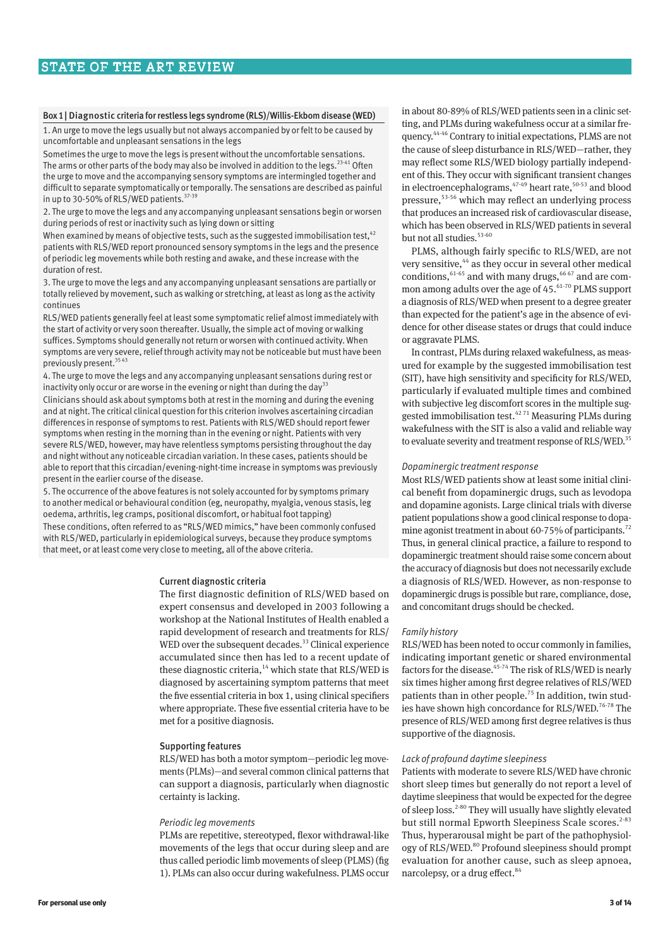# Box 1| Diagnostic criteria for restless legs syndrome (RLS)/Willis-Ekbom disease (WED)

1. An urge to move the legs usually but not always accompanied by or felt to be caused by uncomfortable and unpleasant sensations in the legs

Sometimes the urge to move the legs is present without the uncomfortable sensations. The arms or other parts of the body may also be involved in addition to the legs.<sup>23-41</sup> Often the urge to move and the accompanying sensory symptoms are intermingled together and difficult to separate symptomatically or temporally. The sensations are described as painful in up to 30-50% of RLS/WED patients.  $37-39$ 

2. The urge to move the legs and any accompanying unpleasant sensations begin or worsen during periods of rest or inactivity such as lying down or sitting

When examined by means of objective tests, such as the suggested immobilisation test,  $42$ patients with RLS/WED report pronounced sensory symptoms in the legs and the presence of periodic leg movements while both resting and awake, and these increase with the duration of rest.

3. The urge to move the legs and any accompanying unpleasant sensations are partially or totally relieved by movement, such as walking or stretching, at least as long as the activity continues

RLS/WED patients generally feel at least some symptomatic relief almost immediately with the start of activity or very soon thereafter. Usually, the simple act of moving or walking suffices. Symptoms should generally not return or worsen with continued activity. When symptoms are very severe, relief through activity may not be noticeable but must have been previously present.<sup>3543</sup>

4. The urge to move the legs and any accompanying unpleasant sensations during rest or inactivity only occur or are worse in the evening or night than during the day<sup>33</sup> Clinicians should ask about symptoms both at rest in the morning and during the evening and at night. The critical clinical question for this criterion involves ascertaining circadian differences in response of symptoms to rest. Patients with RLS/WED should report fewer symptoms when resting in the morning than in the evening or night. Patients with very severe RLS/WED, however, may have relentless symptoms persisting throughout the day and night without any noticeable circadian variation. In these cases, patients should be able to report that this circadian/evening-night-time increase in symptoms was previously present in the earlier course of the disease.

5. The occurrence of the above features is not solely accounted for by symptoms primary to another medical or behavioural condition (eg, neuropathy, myalgia, venous stasis, leg oedema, arthritis, leg cramps, positional discomfort, or habitual foot tapping)

These conditions, often referred to as "RLS/WED mimics," have been commonly confused with RLS/WED, particularly in epidemiological surveys, because they produce symptoms that meet, or at least come very close to meeting, all of the above criteria.

#### Current diagnostic criteria

The first diagnostic definition of RLS/WED based on expert consensus and developed in 2003 following a workshop at the National Institutes of Health enabled a rapid development of research and treatments for RLS/ WED over the subsequent decades.<sup>33</sup> Clinical experience accumulated since then has led to a recent update of these diagnostic criteria, $14$  which state that RLS/WED is diagnosed by ascertaining symptom patterns that meet the five essential criteria in box 1, using clinical specifiers where appropriate. These five essential criteria have to be met for a positive diagnosis.

# Supporting features

RLS/WED has both a motor symptom—periodic leg movements (PLMs)—and several common clinical patterns that can support a diagnosis, particularly when diagnostic certainty is lacking.

#### *Periodic leg movements*

PLMs are repetitive, stereotyped, flexor withdrawal-like movements of the legs that occur during sleep and are thus called periodic limb movements of sleep (PLMS) (fig 1). PLMs can also occur during wakefulness. PLMS occur in about 80-89% of RLS/WED patients seen in a clinic setting, and PLMs during wakefulness occur at a similar frequency.44-46 Contrary to initial expectations, PLMS are not the cause of sleep disturbance in RLS/WED—rather, they may reflect some RLS/WED biology partially independent of this. They occur with significant transient changes in electroencephalograms, $47-49$  heart rate,  $50-53$  and blood pressure,53-56 which may reflect an underlying process that produces an increased risk of cardiovascular disease, which has been observed in RLS/WED patients in several but not all studies.<sup>53-60</sup>

PLMS, although fairly specific to RLS/WED, are not very sensitive,<sup>44</sup> as they occur in several other medical conditions,  $61-65$  and with many drugs,  $66-67$  and are common among adults over the age of  $45.^{61-70}$  PLMS support a diagnosis of RLS/WED when present to a degree greater than expected for the patient's age in the absence of evidence for other disease states or drugs that could induce or aggravate PLMS.

In contrast, PLMs during relaxed wakefulness, as measured for example by the suggested immobilisation test (SIT), have high sensitivity and specificity for RLS/WED, particularly if evaluated multiple times and combined with subjective leg discomfort scores in the multiple suggested immobilisation test.42 71 Measuring PLMs during wakefulness with the SIT is also a valid and reliable way to evaluate severity and treatment response of RLS/WED.<sup>35</sup>

#### *Dopaminergic treatment response*

Most RLS/WED patients show at least some initial clinical benefit from dopaminergic drugs, such as levodopa and dopamine agonists. Large clinical trials with diverse patient populations show a good clinical response to dopamine agonist treatment in about 60-75% of participants.<sup>72</sup> Thus, in general clinical practice, a failure to respond to dopaminergic treatment should raise some concern about the accuracy of diagnosis but does not necessarily exclude a diagnosis of RLS/WED. However, as non-response to dopaminergic drugs is possible but rare, compliance, dose, and concomitant drugs should be checked.

# *Family history*

RLS/WED has been noted to occur commonly in families, indicating important genetic or shared environmental factors for the disease.<sup>45-74</sup> The risk of RLS/WED is nearly six times higher among first degree relatives of RLS/WED patients than in other people.<sup>75</sup> In addition, twin studies have shown high concordance for RLS/WED.<sup>76-78</sup> The presence of RLS/WED among first degree relatives is thus supportive of the diagnosis.

## *Lack of profound daytime sleepiness*

Patients with moderate to severe RLS/WED have chronic short sleep times but generally do not report a level of daytime sleepiness that would be expected for the degree of sleep loss.2-80 They will usually have slightly elevated but still normal Epworth Sleepiness Scale scores.<sup>2-83</sup> Thus, hyperarousal might be part of the pathophysiology of RLS/WED.<sup>80</sup> Profound sleepiness should prompt evaluation for another cause, such as sleep apnoea, narcolepsy, or a drug effect.<sup>84</sup>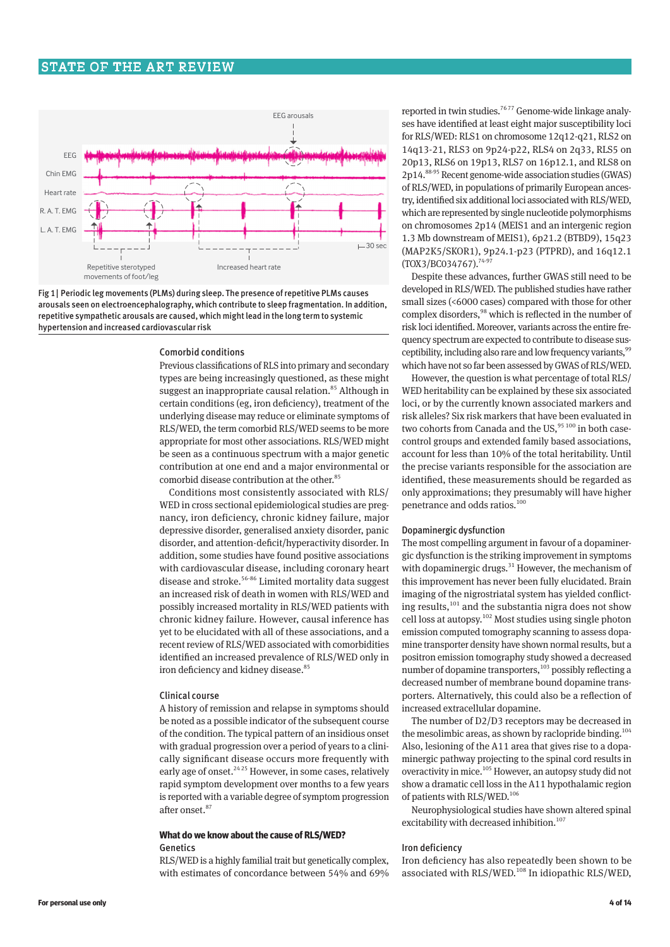

Fig 1| Periodic leg movements (PLMs) during sleep. The presence of repetitive PLMs causes arousals seen on electroencephalography, which contribute to sleep fragmentation. In addition, repetitive sympathetic arousals are caused, which might lead in the long term to systemic hypertension and increased cardiovascular risk

# Comorbid conditions

Previous classifications of RLS into primary and secondary types are being increasingly questioned, as these might suggest an inappropriate causal relation.<sup>85</sup> Although in certain conditions (eg, iron deficiency), treatment of the underlying disease may reduce or eliminate symptoms of RLS/WED, the term comorbid RLS/WED seems to be more appropriate for most other associations. RLS/WED might be seen as a continuous spectrum with a major genetic contribution at one end and a major environmental or comorbid disease contribution at the other.<sup>85</sup>

Conditions most consistently associated with RLS/ WED in cross sectional epidemiological studies are pregnancy, iron deficiency, chronic kidney failure, major depressive disorder, generalised anxiety disorder, panic disorder, and attention-deficit/hyperactivity disorder. In addition, some studies have found positive associations with cardiovascular disease, including coronary heart disease and stroke.56-86 Limited mortality data suggest an increased risk of death in women with RLS/WED and possibly increased mortality in RLS/WED patients with chronic kidney failure. However, causal inference has yet to be elucidated with all of these associations, and a recent review of RLS/WED associated with comorbidities identified an increased prevalence of RLS/WED only in iron deficiency and kidney disease.<sup>85</sup>

#### Clinical course

A history of remission and relapse in symptoms should be noted as a possible indicator of the subsequent course of the condition. The typical pattern of an insidious onset with gradual progression over a period of years to a clinically significant disease occurs more frequently with early age of onset.<sup>24,25</sup> However, in some cases, relatively rapid symptom development over months to a few years is reported with a variable degree of symptom progression after onset.87

# **What do we know about the cause of RLS/WED?** Genetics

RLS/WED is a highly familial trait but genetically complex, with estimates of concordance between 54% and 69% reported in twin studies.<sup>7677</sup> Genome-wide linkage analyses have identified at least eight major susceptibility loci for RLS/WED: RLS1 on chromosome 12q12-q21, RLS2 on 14q13-21, RLS3 on 9p24-p22, RLS4 on 2q33, RLS5 on 20p13, RLS6 on 19p13, RLS7 on 16p12.1, and RLS8 on 2p14.88-95 Recent genome-wide association studies (GWAS) of RLS/WED, in populations of primarily European ancestry, identified six additional loci associated with RLS/WED, which are represented by single nucleotide polymorphisms on chromosomes 2p14 (MEIS1 and an intergenic region 1.3 Mb downstream of MEIS1), 6p21.2 (BTBD9), 15q23 (MAP2K5/SKOR1), 9p24.1-p23 (PTPRD), and 16q12.1 (TOX3/BC034767).<sup>74-97</sup>

Despite these advances, further GWAS still need to be developed in RLS/WED. The published studies have rather small sizes (<6000 cases) compared with those for other complex disorders,<sup>98</sup> which is reflected in the number of risk loci identified. Moreover, variants across the entire frequency spectrum are expected to contribute to disease susceptibility, including also rare and low frequency variants,<sup>99</sup> which have not so far been assessed by GWAS of RLS/WED.

However, the question is what percentage of total RLS/ WED heritability can be explained by these six associated loci, or by the currently known associated markers and risk alleles? Six risk markers that have been evaluated in two cohorts from Canada and the US, $95 100$  in both casecontrol groups and extended family based associations, account for less than 10% of the total heritability. Until the precise variants responsible for the association are identified, these measurements should be regarded as only approximations; they presumably will have higher penetrance and odds ratios.<sup>100</sup>

#### Dopaminergic dysfunction

The most compelling argument in favour of a dopaminergic dysfunction is the striking improvement in symptoms with dopaminergic drugs. $31$  However, the mechanism of this improvement has never been fully elucidated. Brain imaging of the nigrostriatal system has yielded conflicting results,<sup>101</sup> and the substantia nigra does not show cell loss at autopsy.102 Most studies using single photon emission computed tomography scanning to assess dopamine transporter density have shown normal results, but a positron emission tomography study showed a decreased number of dopamine transporters,<sup>103</sup> possibly reflecting a decreased number of membrane bound dopamine transporters. Alternatively, this could also be a reflection of increased extracellular dopamine.

The number of D2/D3 receptors may be decreased in the mesolimbic areas, as shown by raclopride binding.<sup>104</sup> Also, lesioning of the A11 area that gives rise to a dopaminergic pathway projecting to the spinal cord results in overactivity in mice.105 However, an autopsy study did not show a dramatic cell loss in the A11 hypothalamic region of patients with RLS/WED.<sup>106</sup>

Neurophysiological studies have shown altered spinal excitability with decreased inhibition.<sup>107</sup>

#### Iron deficiency

Iron deficiency has also repeatedly been shown to be associated with RLS/WED.<sup>108</sup> In idiopathic RLS/WED,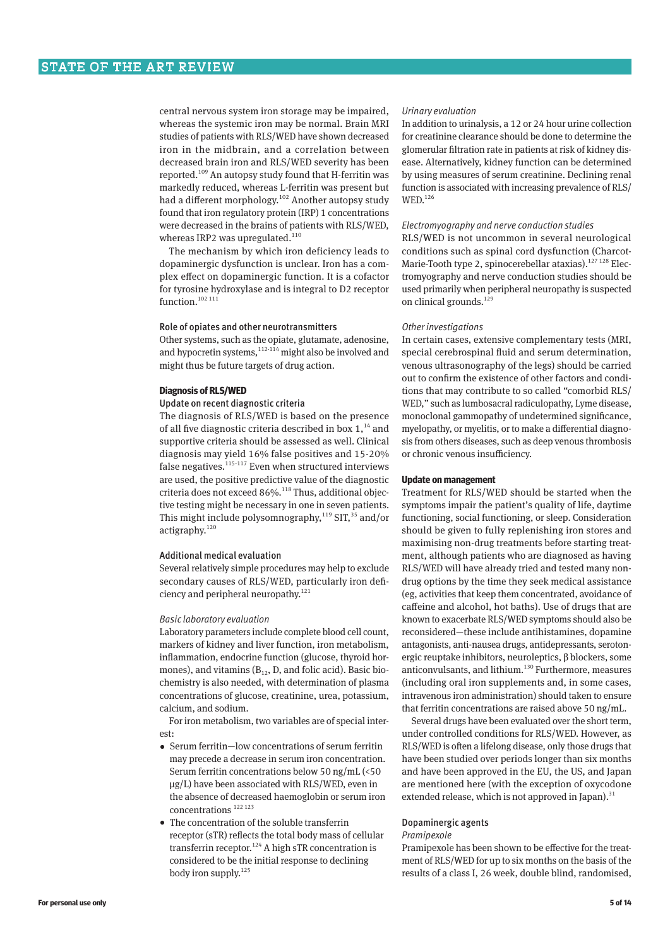central nervous system iron storage may be impaired, whereas the systemic iron may be normal. Brain MRI studies of patients with RLS/WED have shown decreased iron in the midbrain, and a correlation between decreased brain iron and RLS/WED severity has been reported.109 An autopsy study found that H-ferritin was markedly reduced, whereas L-ferritin was present but had a different morphology.102 Another autopsy study found that iron regulatory protein (IRP) 1 concentrations were decreased in the brains of patients with RLS/WED, whereas IRP2 was upregulated.<sup>110</sup>

The mechanism by which iron deficiency leads to dopaminergic dysfunction is unclear. Iron has a complex effect on dopaminergic function. It is a cofactor for tyrosine hydroxylase and is integral to D2 receptor function. $102 111$ 

# Role of opiates and other neurotransmitters

Other systems, such as the opiate, glutamate, adenosine, and hypocretin systems, $112-114$  might also be involved and might thus be future targets of drug action.

#### **Diagnosis of RLS/WED**

# Update on recent diagnostic criteria

The diagnosis of RLS/WED is based on the presence of all five diagnostic criteria described in box  $1<sup>14</sup>$  and supportive criteria should be assessed as well. Clinical diagnosis may yield 16% false positives and 15-20% false negatives. $115-117$  Even when structured interviews are used, the positive predictive value of the diagnostic criteria does not exceed 86%.<sup>118</sup> Thus, additional objective testing might be necessary in one in seven patients. This might include polysomnography,<sup>119</sup> SIT,<sup>35</sup> and/or actigraphy.<sup>120</sup>

#### Additional medical evaluation

Several relatively simple procedures may help to exclude secondary causes of RLS/WED, particularly iron deficiency and peripheral neuropathy. $121$ 

#### *Basic laboratory evaluation*

Laboratory parameters include complete blood cell count, markers of kidney and liver function, iron metabolism, inflammation, endocrine function (glucose, thyroid hormones), and vitamins  $(B_{12}, D, and$  folic acid). Basic biochemistry is also needed, with determination of plasma concentrations of glucose, creatinine, urea, potassium, calcium, and sodium.

For iron metabolism, two variables are of special interest:

- •  Serum ferritin—low concentrations of serum ferritin may precede a decrease in serum iron concentration. Serum ferritin concentrations below 50 ng/mL (<50 μg/L) have been associated with RLS/WED, even in the absence of decreased haemoglobin or serum iron concentrations 122 123
- The concentration of the soluble transferrin receptor (sTR) reflects the total body mass of cellular transferrin receptor.<sup>124</sup> A high sTR concentration is considered to be the initial response to declining body iron supply.<sup>125</sup>

# *Urinary evaluation*

In addition to urinalysis, a 12 or 24 hour urine collection for creatinine clearance should be done to determine the glomerular filtration rate in patients at risk of kidney disease. Alternatively, kidney function can be determined by using measures of serum creatinine. Declining renal function is associated with increasing prevalence of RLS/ WED.126

#### *Electromyography and nerve conduction studies*

RLS/WED is not uncommon in several neurological conditions such as spinal cord dysfunction (Charcot-Marie-Tooth type 2, spinocerebellar ataxias).<sup>127 128</sup> Electromyography and nerve conduction studies should be used primarily when peripheral neuropathy is suspected on clinical grounds.<sup>129</sup>

#### *Other investigations*

In certain cases, extensive complementary tests (MRI, special cerebrospinal fluid and serum determination, venous ultrasonography of the legs) should be carried out to confirm the existence of other factors and conditions that may contribute to so called "comorbid RLS/ WED," such as lumbosacral radiculopathy, Lyme disease, monoclonal gammopathy of undetermined significance, myelopathy, or myelitis, or to make a differential diagnosis from others diseases, such as deep venous thrombosis or chronic venous insufficiency.

# **Update on management**

Treatment for RLS/WED should be started when the symptoms impair the patient's quality of life, daytime functioning, social functioning, or sleep. Consideration should be given to fully replenishing iron stores and maximising non-drug treatments before starting treatment, although patients who are diagnosed as having RLS/WED will have already tried and tested many nondrug options by the time they seek medical assistance (eg, activities that keep them concentrated, avoidance of caffeine and alcohol, hot baths). Use of drugs that are known to exacerbate RLS/WED symptoms should also be reconsidered—these include antihistamines, dopamine antagonists, anti-nausea drugs, antidepressants, serotonergic reuptake inhibitors, neuroleptics, β blockers, some anticonvulsants, and lithium.130 Furthermore, measures (including oral iron supplements and, in some cases, intravenous iron administration) should taken to ensure that ferritin concentrations are raised above 50 ng/mL.

Several drugs have been evaluated over the short term, under controlled conditions for RLS/WED. However, as RLS/WED is often a lifelong disease, only those drugs that have been studied over periods longer than six months and have been approved in the EU, the US, and Japan are mentioned here (with the exception of oxycodone extended release, which is not approved in Japan). $31$ 

# Dopaminergic agents

# *Pramipexole*

Pramipexole has been shown to be effective for the treatment of RLS/WED for up to six months on the basis of the results of a class I, 26 week, double blind, randomised,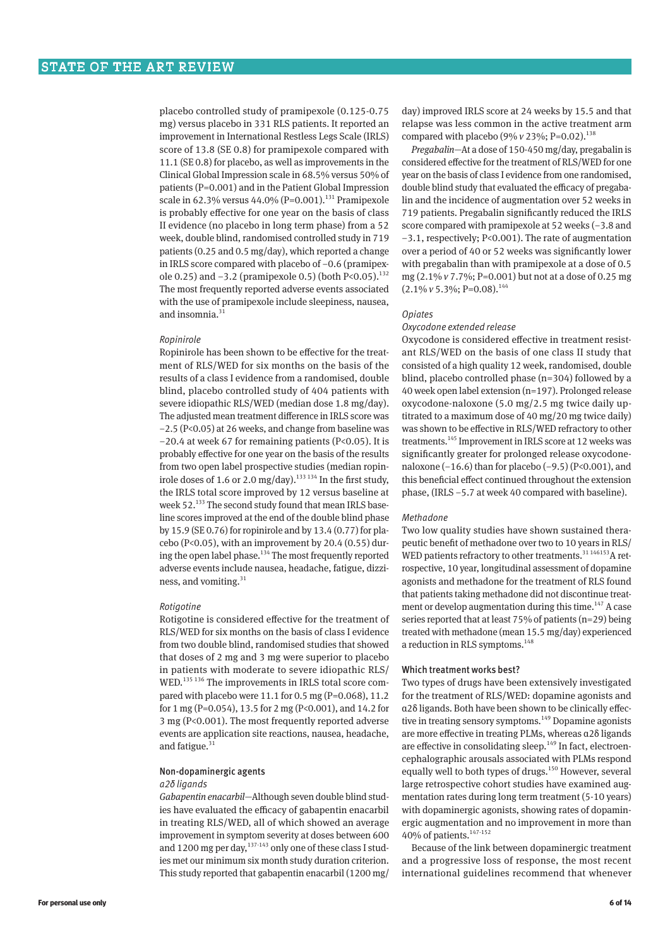placebo controlled study of pramipexole (0.125-0.75 mg) versus placebo in 331 RLS patients. It reported an improvement in International Restless Legs Scale (IRLS) score of 13.8 (SE 0.8) for pramipexole compared with 11.1 (SE 0.8) for placebo, as well as improvements in the Clinical Global Impression scale in 68.5% versus 50% of patients (P=0.001) and in the Patient Global Impression scale in 62.3% versus 44.0% (P=0.001).<sup>131</sup> Pramipexole is probably effective for one year on the basis of class II evidence (no placebo in long term phase) from a 52 week, double blind, randomised controlled study in 719 patients (0.25 and 0.5 mg/day), which reported a change in IRLS score compared with placebo of −0.6 (pramipexole 0.25) and −3.2 (pramipexole 0.5) (both P<0.05).<sup>132</sup> The most frequently reported adverse events associated with the use of pramipexole include sleepiness, nausea, and insomnia.<sup>31</sup>

#### *Ropinirole*

Ropinirole has been shown to be effective for the treatment of RLS/WED for six months on the basis of the results of a class I evidence from a randomised, double blind, placebo controlled study of 404 patients with severe idiopathic RLS/WED (median dose 1.8 mg/day). The adjusted mean treatment difference in IRLS score was −2.5 (P<0.05) at 26 weeks, and change from baseline was −20.4 at week 67 for remaining patients (P<0.05). It is probably effective for one year on the basis of the results from two open label prospective studies (median ropinirole doses of 1.6 or 2.0 mg/day).<sup>133 134</sup> In the first study, the IRLS total score improved by 12 versus baseline at week 52.<sup>133</sup> The second study found that mean IRLS baseline scores improved at the end of the double blind phase by 15.9 (SE 0.76) for ropinirole and by 13.4 (0.77) for placebo ( $P<0.05$ ), with an improvement by 20.4 (0.55) during the open label phase.<sup>134</sup> The most frequently reported adverse events include nausea, headache, fatigue, dizziness, and vomiting.<sup>31</sup>

#### *Rotigotine*

Rotigotine is considered effective for the treatment of RLS/WED for six months on the basis of class I evidence from two double blind, randomised studies that showed that doses of 2 mg and 3 mg were superior to placebo in patients with moderate to severe idiopathic RLS/ WED.<sup>135 136</sup> The improvements in IRLS total score compared with placebo were 11.1 for 0.5 mg (P=0.068), 11.2 for 1 mg (P=0.054), 13.5 for 2 mg (P<0.001), and 14.2 for 3 mg (P<0.001). The most frequently reported adverse events are application site reactions, nausea, headache, and fatigue. $31$ 

#### Non-dopaminergic agents

#### *α2δ ligands*

*Gabapentin enacarbil*—Although seven double blind studies have evaluated the efficacy of gabapentin enacarbil in treating RLS/WED, all of which showed an average improvement in symptom severity at doses between 600 and 1200 mg per day,<sup>137-143</sup> only one of these class I studies met our minimum six month study duration criterion. This study reported that gabapentin enacarbil (1200 mg/

day) improved IRLS score at 24 weeks by 15.5 and that relapse was less common in the active treatment arm compared with placebo (9% *v* 23%; P=0.02).<sup>138</sup>

*Pregabalin*—At a dose of 150-450 mg/day, pregabalin is considered effective for the treatment of RLS/WED for one year on the basis of class I evidence from one randomised, double blind study that evaluated the efficacy of pregabalin and the incidence of augmentation over 52 weeks in 719 patients. Pregabalin significantly reduced the IRLS score compared with pramipexole at 52 weeks (−3.8 and −3.1, respectively; P<0.001). The rate of augmentation over a period of 40 or 52 weeks was significantly lower with pregabalin than with pramipexole at a dose of 0.5 mg (2.1% *v* 7.7%; P=0.001) but not at a dose of 0.25 mg (2.1%  $v$  5.3%; P=0.08).<sup>144</sup>

#### *Opiates*

#### *Oxycodone extended release*

Oxycodone is considered effective in treatment resistant RLS/WED on the basis of one class II study that consisted of a high quality 12 week, randomised, double blind, placebo controlled phase (n=304) followed by a 40 week open label extension (n=197). Prolonged release oxycodone-naloxone (5.0 mg/2.5 mg twice daily uptitrated to a maximum dose of 40 mg/20 mg twice daily) was shown to be effective in RLS/WED refractory to other treatments.145 Improvement in IRLS score at 12 weeks was significantly greater for prolonged release oxycodonenaloxone (−16.6) than for placebo (−9.5) (P<0.001), and this beneficial effect continued throughout the extension phase, (IRLS −5.7 at week 40 compared with baseline).

#### *Methadone*

Two low quality studies have shown sustained therapeutic benefit of methadone over two to 10 years in RLS/ WED patients refractory to other treatments.<sup>31 146153</sup>A retrospective, 10 year, longitudinal assessment of dopamine agonists and methadone for the treatment of RLS found that patients taking methadone did not discontinue treatment or develop augmentation during this time.<sup>147</sup> A case series reported that at least 75% of patients (n=29) being treated with methadone (mean 15.5 mg/day) experienced a reduction in RLS symptoms.<sup>148</sup>

#### Which treatment works best?

Two types of drugs have been extensively investigated for the treatment of RLS/WED: dopamine agonists and α2δ ligands. Both have been shown to be clinically effective in treating sensory symptoms. $149$  Dopamine agonists are more effective in treating PLMs, whereas α2δ ligands are effective in consolidating sleep.<sup>149</sup> In fact, electroencephalographic arousals associated with PLMs respond equally well to both types of drugs.<sup>150</sup> However, several large retrospective cohort studies have examined augmentation rates during long term treatment (5-10 years) with dopaminergic agonists, showing rates of dopaminergic augmentation and no improvement in more than 40% of patients.147-152

Because of the link between dopaminergic treatment and a progressive loss of response, the most recent international guidelines recommend that whenever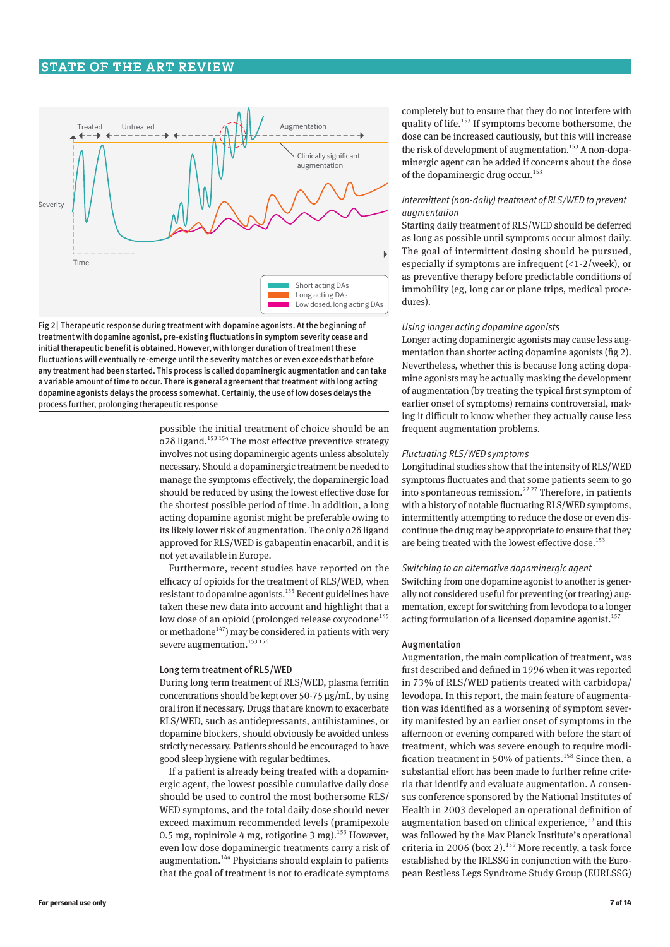

Fig 2| Therapeutic response during treatment with dopamine agonists. At the beginning of treatment with dopamine agonist, pre-existing fluctuations in symptom severity cease and initial therapeutic benefit is obtained. However, with longer duration of treatment these fluctuations will eventually re-emerge until the severity matches or even exceeds that before any treatment had been started. This process is called dopaminergic augmentation and can take a variable amount of time to occur. There is general agreement that treatment with long acting dopamine agonists delays the process somewhat. Certainly, the use of low doses delays the process further, prolonging therapeutic response

# possible the initial treatment of choice should be an  $\alpha$ 2 $\delta$  ligand.<sup>153 154</sup> The most effective preventive strategy involves not using dopaminergic agents unless absolutely necessary. Should a dopaminergic treatment be needed to manage the symptoms effectively, the dopaminergic load should be reduced by using the lowest effective dose for the shortest possible period of time. In addition, a long acting dopamine agonist might be preferable owing to its likely lower risk of augmentation. The only α2δ ligand approved for RLS/WED is gabapentin enacarbil, and it is not yet available in Europe.

Furthermore, recent studies have reported on the efficacy of opioids for the treatment of RLS/WED, when resistant to dopamine agonists.<sup>155</sup> Recent guidelines have taken these new data into account and highlight that a low dose of an opioid (prolonged release oxycodone<sup>145</sup> or methadone $^{147}$ ) may be considered in patients with very severe augmentation.<sup>153 156</sup>

#### Long term treatment of RLS/WED

During long term treatment of RLS/WED, plasma ferritin concentrations should be kept over 50-75 μg/mL, by using oral iron if necessary. Drugs that are known to exacerbate RLS/WED, such as antidepressants, antihistamines, or dopamine blockers, should obviously be avoided unless strictly necessary. Patients should be encouraged to have good sleep hygiene with regular bedtimes.

If a patient is already being treated with a dopaminergic agent, the lowest possible cumulative daily dose should be used to control the most bothersome RLS/ WED symptoms, and the total daily dose should never exceed maximum recommended levels (pramipexole 0.5 mg, ropinirole 4 mg, rotigotine 3 mg).<sup>153</sup> However, even low dose dopaminergic treatments carry a risk of augmentation.144 Physicians should explain to patients that the goal of treatment is not to eradicate symptoms completely but to ensure that they do not interfere with quality of life.153 If symptoms become bothersome, the dose can be increased cautiously, but this will increase the risk of development of augmentation.<sup>153</sup> A non-dopaminergic agent can be added if concerns about the dose of the dopaminergic drug occur.<sup>153</sup>

# *Intermittent (non-daily) treatment of RLS/WED to prevent augmentation*

Starting daily treatment of RLS/WED should be deferred as long as possible until symptoms occur almost daily. The goal of intermittent dosing should be pursued, especially if symptoms are infrequent (<1-2/week), or as preventive therapy before predictable conditions of immobility (eg, long car or plane trips, medical procedures).

#### *Using longer acting dopamine agonists*

Longer acting dopaminergic agonists may cause less augmentation than shorter acting dopamine agonists (fig 2). Nevertheless, whether this is because long acting dopamine agonists may be actually masking the development of augmentation (by treating the typical first symptom of earlier onset of symptoms) remains controversial, making it difficult to know whether they actually cause less frequent augmentation problems.

## *Fluctuating RLS/WED symptoms*

Longitudinal studies show that the intensity of RLS/WED symptoms fluctuates and that some patients seem to go into spontaneous remission.<sup>22 27</sup> Therefore, in patients with a history of notable fluctuating RLS/WED symptoms, intermittently attempting to reduce the dose or even discontinue the drug may be appropriate to ensure that they are being treated with the lowest effective dose.<sup>153</sup>

# *Switching to an alternative dopaminergic agent*

Switching from one dopamine agonist to another is generally not considered useful for preventing (or treating) augmentation, except for switching from levodopa to a longer acting formulation of a licensed dopamine agonist.<sup>157</sup>

#### Augmentation

Augmentation, the main complication of treatment, was first described and defined in 1996 when it was reported in 73% of RLS/WED patients treated with carbidopa/ levodopa. In this report, the main feature of augmentation was identified as a worsening of symptom severity manifested by an earlier onset of symptoms in the afternoon or evening compared with before the start of treatment, which was severe enough to require modification treatment in 50% of patients.<sup>158</sup> Since then, a substantial effort has been made to further refine criteria that identify and evaluate augmentation. A consensus conference sponsored by the National Institutes of Health in 2003 developed an operational definition of augmentation based on clinical experience, $33$  and this was followed by the Max Planck Institute's operational criteria in 2006 (box 2).159 More recently, a task force established by the IRLSSG in conjunction with the European Restless Legs Syndrome Study Group (EURLSSG)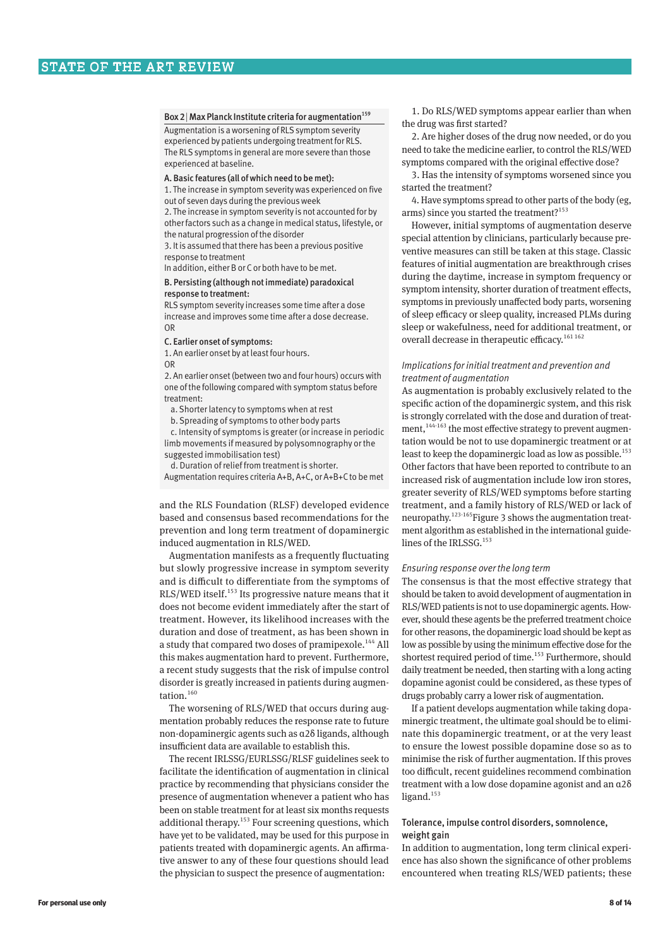Box 2 | Max Planck Institute criteria for augmentation<sup>159</sup> Augmentation is a worsening of RLS symptom severity experienced by patients undergoing treatment for RLS. The RLS symptoms in general are more severe than those experienced at baseline.

#### A. Basic features (all of which need to be met):

1. The increase in symptom severity was experienced on five out of seven days during the previous week

2. The increase in symptom severity is not accounted for by other factors such as a change in medical status, lifestyle, or the natural progression of the disorder

3. It is assumed that there has been a previous positive response to treatment

In addition, either B or C or both have to be met.

#### B. Persisting (although not immediate) paradoxical response to treatment:

RLS symptom severity increases some time after a dose increase and improves some time after a dose decrease. OR

C. Earlier onset of symptoms:

1. An earlier onset by at least four hours. OR

2. An earlier onset (between two and four hours) occurs with one of the following compared with symptom status before treatment:

a. Shorter latency to symptoms when at rest

b. Spreading of symptoms to other body parts

c. Intensity of symptoms is greater (or increase in periodic limb movements if measured by polysomnography or the suggested immobilisation test)

d. Duration of relief from treatment is shorter.

Augmentation requires criteria A+B, A+C, or A+B+C to be met

and the RLS Foundation (RLSF) developed evidence based and consensus based recommendations for the prevention and long term treatment of dopaminergic induced augmentation in RLS/WED.

Augmentation manifests as a frequently fluctuating but slowly progressive increase in symptom severity and is difficult to differentiate from the symptoms of RLS/WED itself.<sup>153</sup> Its progressive nature means that it does not become evident immediately after the start of treatment. However, its likelihood increases with the duration and dose of treatment, as has been shown in a study that compared two doses of pramipexole.<sup>144</sup> All this makes augmentation hard to prevent. Furthermore, a recent study suggests that the risk of impulse control disorder is greatly increased in patients during augmentation.<sup>160</sup>

The worsening of RLS/WED that occurs during augmentation probably reduces the response rate to future non-dopaminergic agents such as α2δ ligands, although insufficient data are available to establish this.

The recent IRLSSG/EURLSSG/RLSF guidelines seek to facilitate the identification of augmentation in clinical practice by recommending that physicians consider the presence of augmentation whenever a patient who has been on stable treatment for at least six months requests additional therapy.<sup>153</sup> Four screening questions, which have yet to be validated, may be used for this purpose in patients treated with dopaminergic agents. An affirmative answer to any of these four questions should lead the physician to suspect the presence of augmentation:

1. Do RLS/WED symptoms appear earlier than when the drug was first started?

2. Are higher doses of the drug now needed, or do you need to take the medicine earlier, to control the RLS/WED symptoms compared with the original effective dose?

3. Has the intensity of symptoms worsened since you started the treatment?

4. Have symptoms spread to other parts of the body (eg, arms) since you started the treatment?<sup>153</sup>

However, initial symptoms of augmentation deserve special attention by clinicians, particularly because preventive measures can still be taken at this stage. Classic features of initial augmentation are breakthrough crises during the daytime, increase in symptom frequency or symptom intensity, shorter duration of treatment effects, symptoms in previously unaffected body parts, worsening of sleep efficacy or sleep quality, increased PLMs during sleep or wakefulness, need for additional treatment, or overall decrease in therapeutic efficacy.<sup>161 162</sup>

# *Implications for initial treatment and prevention and treatment of augmentation*

As augmentation is probably exclusively related to the specific action of the dopaminergic system, and this risk is strongly correlated with the dose and duration of treatment,<sup>144-163</sup> the most effective strategy to prevent augmentation would be not to use dopaminergic treatment or at least to keep the dopaminergic load as low as possible.<sup>153</sup> Other factors that have been reported to contribute to an increased risk of augmentation include low iron stores, greater severity of RLS/WED symptoms before starting treatment, and a family history of RLS/WED or lack of neuropathy.<sup>123-165</sup>Figure 3 shows the augmentation treatment algorithm as established in the international guidelines of the IRLSSG.<sup>153</sup>

#### *Ensuring response over the long term*

The consensus is that the most effective strategy that should be taken to avoid development of augmentation in RLS/WED patients is not to use dopaminergic agents. However, should these agents be the preferred treatment choice for other reasons, the dopaminergic load should be kept as low as possible by using the minimum effective dose for the shortest required period of time.<sup>153</sup> Furthermore, should daily treatment be needed, then starting with a long acting dopamine agonist could be considered, as these types of drugs probably carry a lower risk of augmentation.

If a patient develops augmentation while taking dopaminergic treatment, the ultimate goal should be to eliminate this dopaminergic treatment, or at the very least to ensure the lowest possible dopamine dose so as to minimise the risk of further augmentation. If this proves too difficult, recent guidelines recommend combination treatment with a low dose dopamine agonist and an α2δ ligand. $153$ 

# Tolerance, impulse control disorders, somnolence, weight gain

In addition to augmentation, long term clinical experience has also shown the significance of other problems encountered when treating RLS/WED patients; these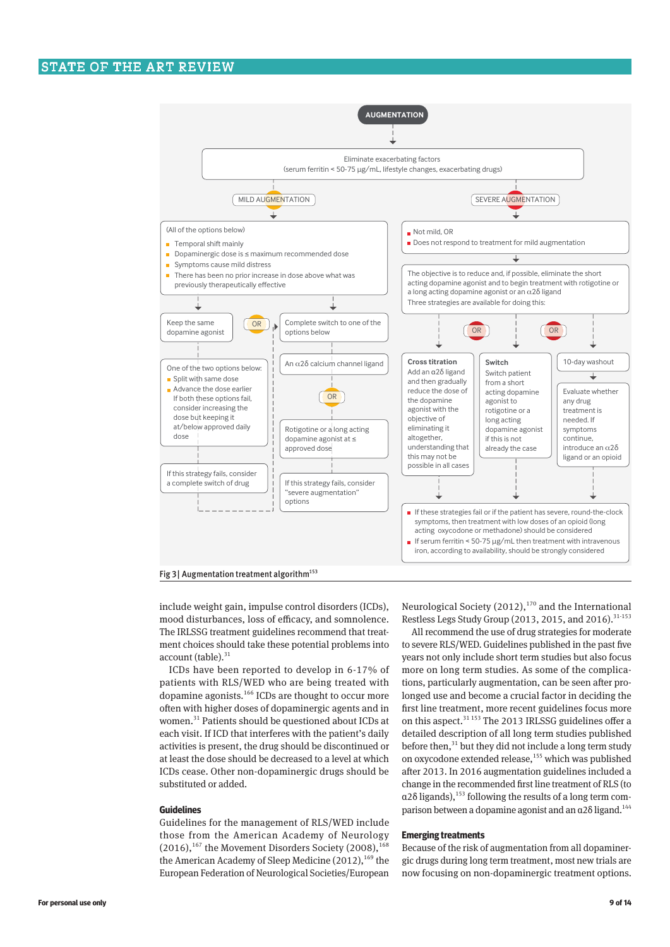

Fig 3 | Augmentation treatment algorithm<sup>153</sup>

include weight gain, impulse control disorders (ICDs), mood disturbances, loss of efficacy, and somnolence. The IRLSSG treatment guidelines recommend that treatment choices should take these potential problems into account (table). $31$ 

ICDs have been reported to develop in 6-17% of patients with RLS/WED who are being treated with dopamine agonists.<sup>166</sup> ICDs are thought to occur more often with higher doses of dopaminergic agents and in women.<sup>31</sup> Patients should be questioned about ICDs at each visit. If ICD that interferes with the patient's daily activities is present, the drug should be discontinued or at least the dose should be decreased to a level at which ICDs cease. Other non-dopaminergic drugs should be substituted or added.

#### **Guidelines**

Guidelines for the management of RLS/WED include those from the American Academy of Neurology  $(2016)$ ,<sup>167</sup> the Movement Disorders Society (2008),<sup>168</sup> the American Academy of Sleep Medicine (2012),<sup>169</sup> the European Federation of Neurological Societies/European

Neurological Society (2012), $170$  and the International Restless Legs Study Group (2013, 2015, and 2016). $31-153$ 

All recommend the use of drug strategies for moderate to severe RLS/WED. Guidelines published in the past five years not only include short term studies but also focus more on long term studies. As some of the complications, particularly augmentation, can be seen after prolonged use and become a crucial factor in deciding the first line treatment, more recent guidelines focus more on this aspect.<sup>31 153</sup> The 2013 IRLSSG guidelines offer a detailed description of all long term studies published before then, $31$  but they did not include a long term study on oxycodone extended release,<sup>155</sup> which was published after 2013. In 2016 augmentation guidelines included a change in the recommended first line treatment of RLS (to  $\alpha$ 2 $\delta$  ligands),<sup>153</sup> following the results of a long term comparison between a dopamine agonist and an  $a2\delta$  ligand.<sup>144</sup>

#### **Emerging treatments**

Because of the risk of augmentation from all dopaminergic drugs during long term treatment, most new trials are now focusing on non-dopaminergic treatment options.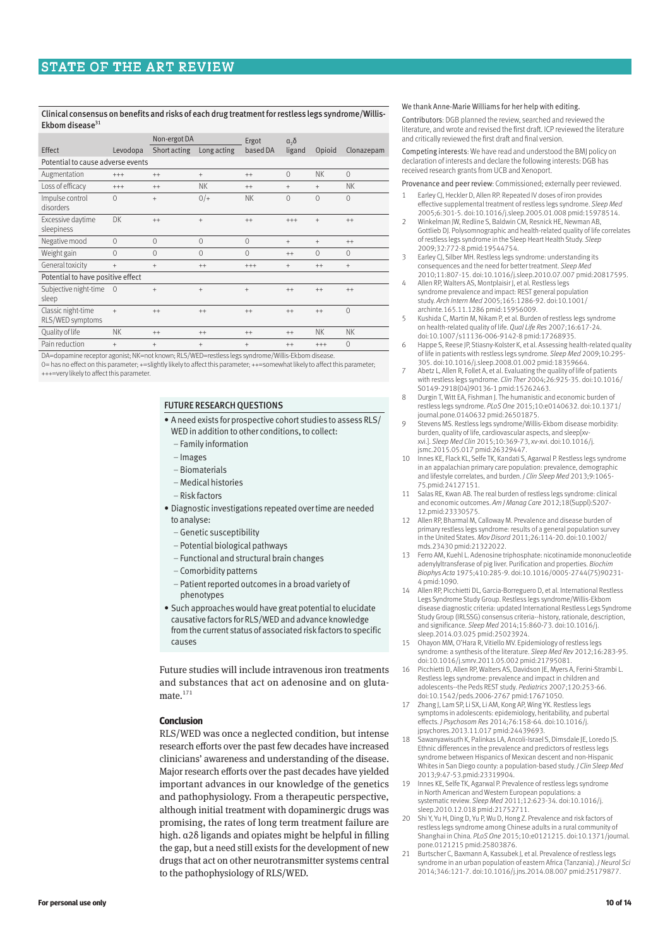#### Clinical consensus on benefits and risks of each drug treatment for restless legs syndrome/Willis-Ekbom disease $31$

|                                        |                | Non-ergot DA |                                  | Ergot        | a <sub>2</sub> |           |                |  |  |
|----------------------------------------|----------------|--------------|----------------------------------|--------------|----------------|-----------|----------------|--|--|
| Effect                                 | Levodopa       | Short acting | Long acting                      | based DA     | ligand         | Opioid    | Clonazepam     |  |  |
| Potential to cause adverse events      |                |              |                                  |              |                |           |                |  |  |
| Augmentation                           | $^{+++}$       | $^{++}$      | $\begin{array}{c} + \end{array}$ | $^{++}$      | $\mathbf{0}$   | <b>NK</b> | $\mathbf{0}$   |  |  |
| Loss of efficacy                       | $^{+++}$       | $++$         | <b>NK</b>                        | $++$         | $^{+}$         | $\ddot{}$ | NK.            |  |  |
| Impulse control<br>disorders           | $\Omega$       | $^{+}$       | $0/+$                            | <b>NK</b>    | $\Omega$       | $\Omega$  | $\Omega$       |  |  |
| Excessive daytime<br>sleepiness        | DK             | $^{++}$      | $+$                              | $++$         | $^{+++}$       | $+$       | $++$           |  |  |
| Negative mood                          | $\Omega$       | $\Omega$     | $\Omega$                         | $\mathbf{0}$ | $^{+}$         | $^{+}$    | $^{++}$        |  |  |
| Weight gain                            | $\Omega$       | $\mathbf{0}$ | $\mathbf{0}$                     | $\mathbf{0}$ | $^{++}$        | $\Omega$  | $\mathbf{0}$   |  |  |
| General toxicity                       | $+$            | $^{+}$       | $^{++}$                          | $^{+++}$     | $^{+}$         | $^{++}$   | $+$            |  |  |
| Potential to have positive effect      |                |              |                                  |              |                |           |                |  |  |
| Subjective night-time<br>sleep         | $\overline{0}$ | $^{+}$       | $+$                              | $^{+}$       | $^{++}$        | $^{++}$   | $++$           |  |  |
| Classic night-time<br>RLS/WED symptoms | $^{+}$         | $++$         | $++$                             | $++$         | $^{++}$        | $^{++}$   | $\overline{0}$ |  |  |
| Quality of life                        | <b>NK</b>      | $++$         | $^{++}$                          | $++$         | $++$           | <b>NK</b> | <b>NK</b>      |  |  |
| Pain reduction                         | $^{+}$         | $^{+}$       | $+$                              | $^{+}$       | $^{++}$        | $^{+++}$  | $\Omega$       |  |  |

DA=dopamine receptor agonist; NK=not known; RLS/WED=restless legs syndrome/Willis-Ekbom disease. 0= has no effect on this parameter; +=slightly likely to affect this parameter; ++=somewhat likely to affect this parameter; +++=very likely to affect this parameter.

# FUTURE RESEARCH QUESTIONS

- A need exists for prospective cohort studies to assess RLS/ WED in addition to other conditions, to collect:
- Family information
- Images
- Biomaterials
- Medical histories
- Risk factors
- Diagnostic investigations repeated over time are needed to analyse:
- –Genetic susceptibility
- Potential biological pathways
- Functional and structural brain changes
- Comorbidity patterns
- Patient reported outcomes in a broad variety of phenotypes
- Such approaches would have great potential to elucidate causative factors for RLS/WED and advance knowledge from the current status of associated risk factors to specific causes

Future studies will include intravenous iron treatments and substances that act on adenosine and on glutamate. $171$ 

## **Conclusion**

RLS/WED was once a neglected condition, but intense research efforts over the past few decades have increased clinicians' awareness and understanding of the disease. Major research efforts over the past decades have yielded important advances in our knowledge of the genetics and pathophysiology. From a therapeutic perspective, although initial treatment with dopaminergic drugs was promising, the rates of long term treatment failure are high. α2δ ligands and opiates might be helpful in filling the gap, but a need still exists for the development of new drugs that act on other neurotransmitter systems central to the pathophysiology of RLS/WED.

#### We thank Anne-Marie Williams for her help with editing.

Contributors: DGB planned the review, searched and reviewed the literature, and wrote and revised the first draft. ICP reviewed the literature and critically reviewed the first draft and final version.

Competing interests: We have read and understood the BMJ policy on declaration of interests and declare the following interests: DGB has received research grants from UCB and Xenoport.

Provenance and peer review: Commissioned; externally peer reviewed.

- Earley CJ, Heckler D, Allen RP. Repeated IV doses of iron provides effective supplemental treatment of restless legs syndrome. *Sleep Med* 2005;6:301-5. doi:10.1016/j.sleep.2005.01.008 pmid:15978514.
- 2 Winkelman JW, Redline S, Baldwin CM, Resnick HF, Newman AB, Gottlieb DJ. Polysomnographic and health-related quality of life correlates of restless legs syndrome in the Sleep Heart Health Study. *Sleep* 2009;32:772-8.pmid:19544754.
- 3 Earley CJ, Silber MH. Restless legs syndrome: understanding its consequences and the need for better treatment. *Sleep Med* 2010;11:807-15. doi:10.1016/j.sleep.2010.07.007 pmid:20817595.
- 4 Allen RP, Walters AS, Montplaisir J, et al. Restless legs syndrome prevalence and impact: REST general population study. *Arch Intern Med* 2005;165:1286-92. doi:10.1001/ archinte.165.11.1286 pmid:15956009.
- Kushida C, Martin M, Nikam P, et al. Burden of restless legs syndrome on health-related quality of life. *Qual Life Res* 2007;16:617-24. doi:10.1007/s11136-006-9142-8 pmid:17268935.
- 6 Happe S, Reese JP, Stiasny-Kolster K, et al. Assessing health-related quality of life in patients with restless legs syndrome. *Sleep Med* 2009;10:295- 305. doi:10.1016/j.sleep.2008.01.002 pmid:18359664.
- Abetz L, Allen R, Follet A, et al. Evaluating the quality of life of patients with restless legs syndrome. *Clin Ther* 2004;26:925-35. doi:10.1016/ S0149-2918(04)90136-1 pmid:15262463.
- 8 Durgin T, Witt EA, Fishman J. The humanistic and economic burden of restless legs syndrome. *PLoS One* 2015;10:e0140632. doi:10.1371/ journal.pone.0140632 pmid:26501875.
- 9 Stevens MS. Restless legs syndrome/Willis-Ekbom disease morbidity: burden, quality of life, cardiovascular aspects, and sleep[xvxvi.]. *Sleep Med Clin* 2015;10:369-73, xv-xvi. doi:10.1016/j. jsmc.2015.05.017 pmid:26329447.
- 10 Innes KE, Flack KL, Selfe TK, Kandati S, Agarwal P. Restless legs syndrome in an appalachian primary care population: prevalence, demographic and lifestyle correlates, and burden. *J Clin Sleep Med* 2013;9:1065- 75.pmid:24127151.
- 11 Salas RE, Kwan AB. The real burden of restless legs syndrome: clinical and economic outcomes. *Am J Manag Care* 2012;18(Suppl):S207- 12.pmid:23330575.
- 12 Allen RP, Bharmal M, Calloway M. Prevalence and disease burden of primary restless legs syndrome: results of a general population survey in the United States. *Mov Disord* 2011;26:114-20. doi:10.1002/ m and officed states. Mov Bison
- 13 Ferro AM, Kuehl L. Adenosine triphosphate: nicotinamide mononucleotide adenylyltransferase of pig liver. Purification and properties. *Biochim Biophys Acta* 1975;410:285-9. doi:10.1016/0005-2744(75)90231- 4 pmid:1090.
- 14 Allen RP, Picchietti DL, Garcia-Borreguero D, et al. International Restless Legs Syndrome Study Group. Restless legs syndrome/Willis-Ekbom disease diagnostic criteria: updated International Restless Legs Syndrome Study Group (IRLSSG) consensus criteria--history, rationale, description, and significance. *Sleep Med* 2014;15:860-73. doi:10.1016/j. sleep.2014.03.025 pmid:25023924.
- 15 Ohayon MM, O'Hara R, Vitiello MV. Epidemiology of restless legs syndrome: a synthesis of the literature. *Sleep Med Rev* 2012;16:283-95. doi:10.1016/j.smrv.2011.05.002 pmid:21795081.
- 16 Picchietti D, Allen RP, Walters AS, Davidson JE, Myers A, Ferini-Strambi L. Restless legs syndrome: prevalence and impact in children and adolescents--the Peds REST study. *Pediatrics* 2007;120:253-66. doi:10.1542/peds.2006-2767 pmid:17671050.
- 17 Zhang J, Lam SP, Li SX, Li AM, Kong AP, Wing YK. Restless legs symptoms in adolescents: epidemiology, heritability, and pubertal effects. *J Psychosom Res* 2014;76:158-64. doi:10.1016/j. jpsychores.2013.11.017 pmid:24439693.
- 18 Sawanyawisuth K, Palinkas LA, Ancoli-Israel S, Dimsdale JE, Loredo JS. Ethnic differences in the prevalence and predictors of restless legs syndrome between Hispanics of Mexican descent and non-Hispanic Whites in San Diego county: a population-based study. *J Clin Sleep Med* 2013;9:47-53.pmid:23319904.
- 19 Innes KE, Selfe TK, Agarwal P. Prevalence of restless legs syndrome in North American and Western European populations: a systematic review. *Sleep Med* 2011;12:623-34. doi:10.1016/j. sleep.2010.12.018 pmid:21752711.
- 20 Shi Y, Yu H, Ding D, Yu P, Wu D, Hong Z. Prevalence and risk factors of restless legs syndrome among Chinese adults in a rural community of Shanghai in China. *PLoS One* 2015;10:e0121215. doi:10.1371/journal. pone.0121215 pmid:25803876.
- 21 Burtscher C, Baxmann A, Kassubek J, et al. Prevalence of restless legs syndrome in an urban population of eastern Africa (Tanzania). *J Neurol Sci* 2014;346:121-7. doi:10.1016/j.jns.2014.08.007 pmid:25179877.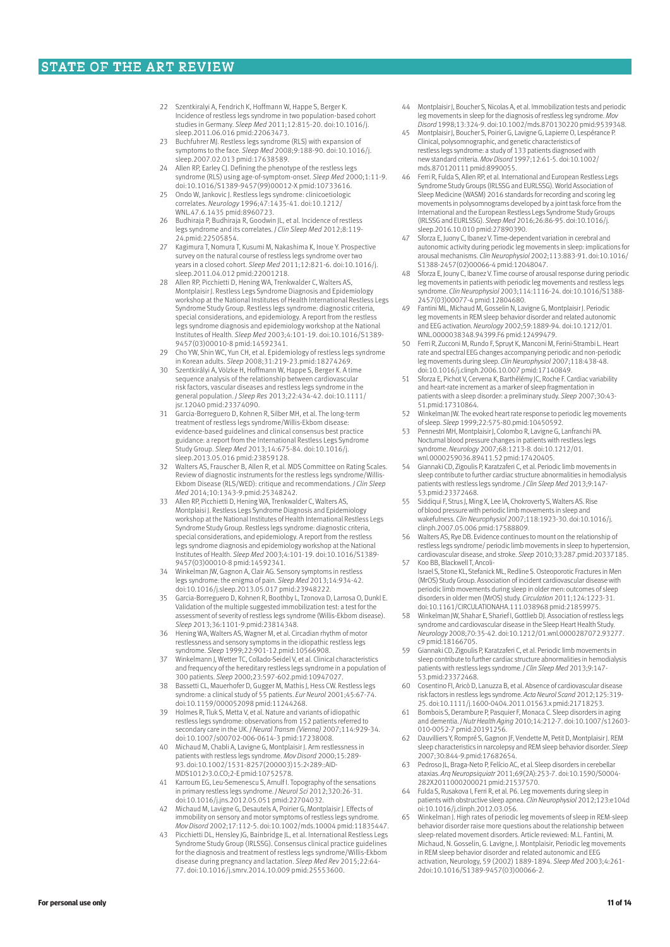- 22 Szentkiralyi A, Fendrich K, Hoffmann W, Happe S, Berger K. Incidence of restless legs syndrome in two population-based cohort studies in Germany. *Sleep Med* 2011;12:815-20. doi:10.1016/j. sleep.2011.06.016 pmid:22063473.
- 23 Buchfuhrer MJ. Restless legs syndrome (RLS) with expansion of symptoms to the face. *Sleep Med* 2008;9:188-90. doi:10.1016/j. sleep.2007.02.013 pmid:17638589.
- 24 Allen RP, Earley CJ. Defining the phenotype of the restless legs syndrome (RLS) using age-of-symptom-onset. *Sleep Med* 2000;1:11-9. doi:10.1016/S1389-9457(99)00012-X pmid:10733616.
- 25 Ondo W, Jankovic J. Restless legs syndrome: clinicoetiologic correlates. *Neurology* 1996;47:1435-41. doi:10.1212/ WNL.47.6.1435 pmid:8960723.
- Budhiraja P, Budhiraja R, Goodwin JL, et al. Incidence of restless legs syndrome and its correlates. *J Clin Sleep Med* 2012;8:119- 24.pmid:22505854.
- 27 Kagimura T, Nomura T, Kusumi M, Nakashima K, Inoue Y. Prospective survey on the natural course of restless legs syndrome over two years in a closed cohort. *Sleep Med* 2011;12:821-6. doi:10.1016/j. sleep.2011.04.012 pmid:22001218.
- 28 Allen RP, Picchietti D, Hening WA, Trenkwalder C, Walters AS, Montplaisir J. Restless Legs Syndrome Diagnosis and Epidemiology workshop at the National Institutes of Health International Restless Legs Syndrome Study Group. Restless legs syndrome: diagnostic criteria, special considerations, and epidemiology. A report from the restless legs syndrome diagnosis and epidemiology workshop at the National Institutes of Health. *Sleep Med* 2003;4:101-19. doi:10.1016/S1389- 9457(03)00010-8 pmid:14592341.
- 29 Cho YW, Shin WC, Yun CH, et al. Epidemiology of restless legs syndrome in Korean adults. *Sleep* 2008;31:219-23.pmid:18274269.
- 30 Szentkirályi A, Völzke H, Hoffmann W, Happe S, Berger K. A time sequence analysis of the relationship between cardiovascular risk factors, vascular diseases and restless legs syndrome in the general population. *J Sleep Res* 2013;22:434-42. doi:10.1111/ jsr.12040 pmid:23374090.
- 31 Garcia-Borreguero D, Kohnen R, Silber MH, et al. The long-term treatment of restless legs syndrome/Willis-Ekbom disease: evidence-based guidelines and clinical consensus best practice guidance: a report from the International Restless Legs Syndrome Study Group. *Sleep Med* 2013;14:675-84. doi:10.1016/j. sleep.2013.05.016 pmid:23859128.
- 32 Walters AS, Frauscher B, Allen R, et al. MDS Committee on Rating Scales. Review of diagnostic instruments for the restless legs syndrome/Willis-Ekbom Disease (RLS/WED): critique and recommendations. *J Clin Sleep Med* 2014;10:1343-9.pmid:25348242.
- Allen RP, Picchietti D, Hening WA, Trenkwalder C, Walters AS, Montplaisi J. Restless Legs Syndrome Diagnosis and Epidemiology workshop at the National Institutes of Health International Restless Legs Syndrome Study Group. Restless legs syndrome: diagnostic criteria, special considerations, and epidemiology. A report from the restless legs syndrome diagnosis and epidemiology workshop at the National Institutes of Health. *Sleep Med* 2003;4:101-19. doi:10.1016/S1389- 9457(03)00010-8 pmid:14592341.
- Winkelman JW, Gagnon A, Clair AG. Sensory symptoms in restless legs syndrome: the enigma of pain. *Sleep Med* 2013;14:934-42. doi:10.1016/j.sleep.2013.05.017 pmid:23948222.
- 35 Garcia-Borreguero D, Kohnen R, Boothby L, Tzonova D, Larrosa O, Dunkl E. Validation of the multiple suggested immobilization test: a test for the assessment of severity of restless legs syndrome (Willis-Ekbom disease). *Sleep* 2013;36:1101-9.pmid:23814348.
- 36 Hening WA, Walters AS, Wagner M, et al. Circadian rhythm of motor restlessness and sensory symptoms in the idiopathic restless legs syndrome. *Sleep* 1999;22:901-12.pmid:10566908.
- 37 Winkelmann J, Wetter TC, Collado-Seidel V, et al. Clinical characteristics and frequency of the hereditary restless legs syndrome in a population of 300 patients. *Sleep* 2000;23:597-602.pmid:10947027.
- 38 Bassetti CL, Mauerhofer D, Gugger M, Mathis J, Hess CW. Restless legs syndrome: a clinical study of 55 patients. *Eur Neurol* 2001;45:67-74. doi:10.1159/000052098 pmid:11244268.
- 39 Holmes R, Tluk S, Metta V, et al. Nature and variants of idiopathic restless legs syndrome: observations from 152 patients referred to secondary care in the UK. *J Neural Transm (Vienna)* 2007;114:929-34. doi:10.1007/s00702-006-0614-3 pmid:17238008.
- 40 Michaud M, Chabli A, Lavigne G, Montplaisir J. Arm restlessness in patients with restless legs syndrome. *Mov Disord* 2000;15:289- 93. doi:10.1002/1531-8257(200003)15:2<289::AID-MDS1012>3.0.CO;2-E pmid:10752578.
- 41 Karroum EG, Leu-Semenescu S, Arnulf I. Topography of the sensations in primary restless legs syndrome. *J Neurol Sci* 2012;320:26-31. doi:10.1016/j.jns.2012.05.051 pmid:22704032.
- 42 Michaud M, Lavigne G, Desautels A, Poirier G, Montplaisir J. Effects of immobility on sensory and motor symptoms of restless legs syndrome. *Mov Disord* 2002;17:112-5. doi:10.1002/mds.10004 pmid:11835447.
- 43 Picchietti DL, Hensley JG, Bainbridge JL, et al. International Restless Legs Syndrome Study Group (IRLSSG). Consensus clinical practice guidelines for the diagnosis and treatment of restless legs syndrome/Willis-Ekbom disease during pregnancy and lactation. *Sleep Med Rev* 2015;22:64- 77. doi:10.1016/j.smrv.2014.10.009 pmid:25553600.
- Montplaisir J, Boucher S, Nicolas A, et al. Immobilization tests and periodic leg movements in sleep for the diagnosis of restless leg syndrome. *Mov Disord* 1998;13:324-9. doi:10.1002/mds.870130220 pmid:9539348.
- 45 Montplaisir J, Boucher S, Poirier G, Lavigne G, Lapierre O, Lespérance P. Clinical, polysomnographic, and genetic characteristics of restless legs syndrome: a study of 133 patients diagnosed with new standard criteria. *Mov Disord* 1997;12:61-5. doi:10.1002/ mds.870120111 pmid:8990055.
- 46 Ferri R, Fulda S, Allen RP, et al. International and European Restless Legs Syndrome Study Groups (IRLSSG and EURLSSG). World Association of Sleep Medicine (WASM) 2016 standards for recording and scoring leg movements in polysomnograms developed by a joint task force from the International and the European Restless Legs Syndrome Study Groups (IRLSSG and EURLSSG). *Sleep Med* 2016;26:86-95. doi:10.1016/j. sleep.2016.10.010 pmid:27890390.
- 47 Sforza E, Juony C, Ibanez V. Time-dependent variation in cerebral and autonomic activity during periodic leg movements in sleep: implications for arousal mechanisms. *Clin Neurophysiol* 2002;113:883-91. doi:10.1016/ S1388-2457(02)00066-4 pmid:12048047.
- 48 Sforza E, Jouny C, Ibanez V. Time course of arousal response during periodic leg movements in patients with periodic leg movements and restless legs syndrome. *Clin Neurophysiol* 2003;114:1116-24. doi:10.1016/S1388- 2457(03)00077-4 pmid:12804680.
- 49 Fantini ML, Michaud M, Gosselin N, Lavigne G, Montplaisir J. Periodic leg movements in REM sleep behavior disorder and related autonomic and EEG activation. *Neurology* 2002;59:1889-94. doi:10.1212/01. WNL.0000038348.94399.F6 pmid:12499479.
- 50 Ferri R, Zucconi M, Rundo F, Spruyt K, Manconi M, Ferini-Strambi L. Heart rate and spectral EEG changes accompanying periodic and non-periodic leg movements during sleep. *Clin Neurophysiol* 2007;118:438-48. doi:10.1016/j.clinph.2006.10.007 pmid:17140849.
- Sforza E, Pichot V, Cervena K, Barthélémy JC, Roche F. Cardiac variability and heart-rate increment as a marker of sleep fragmentation in patients with a sleep disorder: a preliminary study. *Sleep* 2007;30:43- 51.pmid:17310864.
- 52 Winkelman JW. The evoked heart rate response to periodic leg movements of sleep. *Sleep* 1999;22:575-80.pmid:10450592.
- 53 Pennestri MH, Montplaisir J, Colombo R, Lavigne G, Lanfranchi PA. Nocturnal blood pressure changes in patients with restless legs syndrome. *Neurology* 2007;68:1213-8. doi:10.1212/01. wnl.0000259036.89411.52 pmid:17420405.
- 54 Giannaki CD, Zigoulis P, Karatzaferi C, et al. Periodic limb movements in sleep contribute to further cardiac structure abnormalities in hemodialysis patients with restless legs syndrome. *J Clin Sleep Med* 2013;9:147- 53.pmid:23372468.
- 55 Siddiqui F, Strus J, Ming X, Lee IA, Chokroverty S, Walters AS. Rise of blood pressure with periodic limb movements in sleep and wakefulness. *Clin Neurophysiol* 2007;118:1923-30. doi:10.1016/j. clinph.2007.05.006 pmid:17588809.
- 56 Walters AS, Rye DB. Evidence continues to mount on the relationship of restless legs syndrome/ periodic limb movements in sleep to hypertension, cardiovascular disease, and stroke. *Sleep* 2010;33:287.pmid:20337185. 57 Koo BB, Blackwell T, Ancoli
- Israel S, Stone KL, Stefanick ML, Redline S. Osteoporotic Fractures in Men (MrOS) Study Group. Association of incident cardiovascular disease with periodic limb movements during sleep in older men: outcomes of sleep disorders in older men (MrOS) study. *Circulation* 2011;124:1223-31. doi:10.1161/CIRCULATIONAHA.111.038968 pmid:21859975.
- 58 Winkelman JW, Shahar E, Sharief I, Gottlieb DJ. Association of restless legs syndrome and cardiovascular disease in the Sleep Heart Health Study. *Neurology* 2008;70:35-42. doi:10.1212/01.wnl.0000287072.93277. c9 pmid:18166705.
- 59 Giannaki CD, Zigoulis P, Karatzaferi C, et al. Periodic limb movements in sleep contribute to further cardiac structure abnormalities in hemodialysis patients with restless legs syndrome. *J Clin Sleep Med* 2013;9:147- 53.pmid:23372468.
- 60 Cosentino FI, Aricò D, Lanuzza B, et al. Absence of cardiovascular disease risk factors in restless legs syndrome. *Acta Neurol Scand* 2012;125:319- 25. doi:10.1111/j.1600-0404.2011.01563.x pmid:21718253.
- Bombois S, Derambure P, Pasquier F, Monaca C. Sleep disorders in aging and dementia. *J Nutr Health Aging* 2010;14:212-7. doi:10.1007/s12603- 010-0052-7 pmid:20191256.
- Dauvilliers Y, Rompré S, Gagnon JF, Vendette M, Petit D, Montplaisir J. REM sleep characteristics in narcolepsy and REM sleep behavior disorder. *Sleep* 2007;30:844-9.pmid:17682654.
- 63 Pedroso JL, Braga-Neto P, Felício AC, et al. Sleep disorders in cerebellar ataxias. *Arq Neuropsiquiatr* 2011;69(2A):253-7. doi:10.1590/S0004- 282X2011000200021 pmid:21537570.
- 64 Fulda S, Rusakova I, Ferri R, et al. P6. Leg movements during sleep in patients with obstructive sleep apnea. *Clin Neurophysiol* 2012;123:e104d oi:10.1016/j.clinph.2012.03.056.
- 65 Winkelman J. High rates of periodic leg movements of sleep in REM-sleep behavior disorder raise more questions about the relationship between sleep-related movement disorders. Article reviewed: M.L. Fantini, M. Michaud, N. Gosselin, G. Lavigne, J. Montplaisir, Periodic leg movements in REM sleep behavior disorder and related autonomic and EEG activation, Neurology, 59 (2002) 1889-1894. *Sleep Med* 2003;4:261- 2doi:10.1016/S1389-9457(03)00066-2.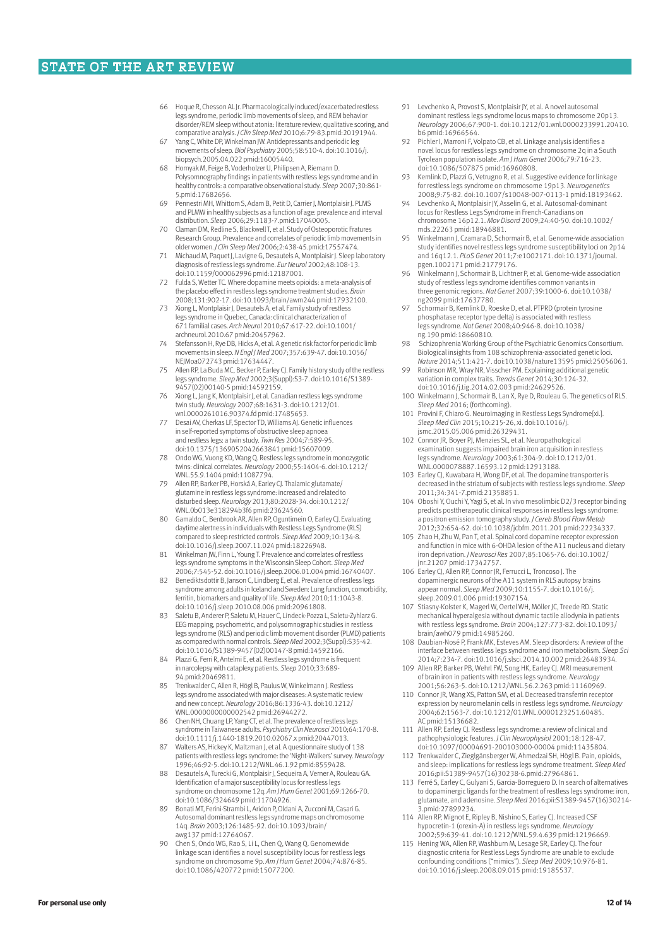- Hoque R, Chesson AL Jr. Pharmacologically induced/exacerbated restless legs syndrome, periodic limb movements of sleep, and REM behavior disorder/REM sleep without atonia: literature review, qualitative scoring, and comparative analysis. *J Clin Sleep Med* 2010;6:79-83.pmid:20191944.
- 67 Yang C, White DP, Winkelman JW. Antidepressants and periodic leg movements of sleep. *Biol Psychiatry* 2005;58:510-4. doi:10.1016/j. biopsych.2005.04.022 pmid:16005440.
- 68 Hornyak M, Feige B, Voderholzer U, Philipsen A, Riemann D. Polysomnography findings in patients with restless legs syndrome and in healthy controls: a comparative observational study. *Sleep* 2007;30:861- 5.pmid:17682656.
- 69 Pennestri MH, Whittom S, Adam B, Petit D, Carrier J, Montplaisir J. PLMS and PLMW in healthy subjects as a function of age: prevalence and interval distribution. *Sleep* 2006;29:1183-7.pmid:17040005.
- 70 Claman DM, Redline S, Blackwell T, et al. Study of Osteoporotic Fratures Research Group. Prevalence and correlates of periodic limb movements in older women. *J Clin Sleep Med* 2006;2:438-45.pmid:17557474.
- 71 Michaud M, Paquet J, Lavigne G, Desautels A, Montplaisir J. Sleep laboratory diagnosis of restless legs syndrome. *Eur Neurol* 2002;48:108-13. doi:10.1159/000062996 pmid:12187001.
- 72 Fulda S, Wetter TC. Where dopamine meets opioids: a meta-analysis of the placebo effect in restless legs syndrome treatment studies. *Brain* 2008;131:902-17. doi:10.1093/brain/awm244 pmid:17932100.
- Xiong L, Montplaisir J, Desautels A, et al. Family study of restless legs syndrome in Quebec, Canada: clinical characterization of 671 familial cases. *Arch Neurol* 2010;67:617-22. doi:10.1001/ archneurol.2010.67 pmid:20457962.
- Stefansson H, Rye DB, Hicks A, et al. A genetic risk factor for periodic limb movements in sleep. *N Engl J Med* 2007;357:639-47. doi:10.1056/ NEJMoa072743 pmid:17634447.
- 75 Allen RP, La Buda MC, Becker P, Earley CJ. Family history study of the restless legs syndrome. *Sleep Med* 2002;3(Suppl):S3-7. doi:10.1016/S1389- 9457(02)00140-5 pmid:14592159.
- 76 Xiong L, Jang K, Montplaisir J, et al. Canadian restless legs syndrome twin study. *Neurology* 2007;68:1631-3. doi:10.1212/01. wnl.0000261016.90374.fd pmid:17485653.
- 77 Desai AV, Cherkas LF, Spector TD, Williams AJ. Genetic influences in self-reported symptoms of obstructive sleep apnoea and restless legs: a twin study. *Twin Res* 2004;7:589-95. doi:10.1375/1369052042663841 pmid:15607009.
- 78 Ondo WG, Vuong KD, Wang Q. Restless legs syndrome in monozygotic twins: clinical correlates. *Neurology* 2000;55:1404-6. doi:10.1212/ WNL.55.9.1404 pmid:11087794.
- 79 Allen RP, Barker PB, Horská A, Earley CJ. Thalamic glutamate/ glutamine in restless legs syndrome: increased and related to disturbed sleep. *Neurology* 2013;80:2028-34. doi:10.1212/ WNL.0b013e318294b3f6 pmid:23624560.
- 80 Gamaldo C, Benbrook AR, Allen RP, Oguntimein O, Earley CJ. Evaluating daytime alertness in individuals with Restless Legs Syndrome (RLS) compared to sleep restricted controls. *Sleep Med* 2009;10:134-8. doi:10.1016/j.sleep.2007.11.024 pmid:18226948.
- 81 Winkelman JW, Finn L, Young T. Prevalence and correlates of restless legs syndrome symptoms in the Wisconsin Sleep Cohort. *Sleep Med* 2006;7:545-52. doi:10.1016/j.sleep.2006.01.004 pmid:16740407.
- 82 Benediktsdottir B, Janson C, Lindberg E, et al. Prevalence of restless legs syndrome among adults in Iceland and Sweden: Lung function, comorbidity, ferritin, biomarkers and quality of life. *Sleep Med* 2010;11:1043-8. doi:10.1016/j.sleep.2010.08.006 pmid:20961808.
- 83 Saletu B, Anderer P, Saletu M, Hauer C, Lindeck-Pozza L, Saletu-Zyhlarz G. EEG mapping, psychometric, and polysomnographic studies in restless legs syndrome (RLS) and periodic limb movement disorder (PLMD) patients as compared with normal controls. *Sleep Med* 2002;3(Suppl):S35-42. doi:10.1016/S1389-9457(02)00147-8 pmid:14592166.
- 84 Plazzi G, Ferri R, Antelmi E, et al. Restless legs syndrome is frequent in narcolepsy with cataplexy patients. *Sleep* 2010;33:689- 94.pmid:20469811.
- 85 Trenkwalder C, Allen R, Högl B, Paulus W, Winkelmann J. Restless legs syndrome associated with major diseases: A systematic review and new concept. *Neurology* 2016;86:1336-43. doi:10.1212/ WNL.0000000000002542 pmid:26944272.
- 86 Chen NH, Chuang LP, Yang CT, et al. The prevalence of restless legs syndrome in Taiwanese adults. *Psychiatry Clin Neurosci* 2010;64:170-8. doi:10.1111/j.1440-1819.2010.02067.x pmid:20447013.
- 87 Walters AS, Hickey K, Maltzman J, et al. A questionnaire study of 138 patients with restless legs syndrome: the 'Night-Walkers' survey. *Neurology* 1996;46:92-5. doi:10.1212/WNL.46.1.92 pmid:8559428.
- 88 Desautels A, Turecki G, Montplaisir J, Sequeira A, Verner A, Rouleau GA. Identification of a major susceptibility locus for restless legs syndrome on chromosome 12q. *Am J Hum Genet* 2001;69:1266-70. doi:10.1086/324649 pmid:11704926.
- 89 Bonati MT, Ferini-Strambi L, Aridon P, Oldani A, Zucconi M, Casari G. Autosomal dominant restless legs syndrome maps on chromosome 14q. *Brain* 2003;126:1485-92. doi:10.1093/brain/ awg137 pmid:12764067.
- 90 Chen S, Ondo WG, Rao S, Li L, Chen Q, Wang Q. Genomewide linkage scan identifies a novel susceptibility locus for restless legs syndrome on chromosome 9p. *Am J Hum Genet* 2004;74:876-85. doi:10.1086/420772 pmid:15077200.
- Levchenko A, Provost S, Montplaisir JY, et al. A novel autosomal dominant restless legs syndrome locus maps to chromosome 20p13. *Neurology* 2006;67:900-1. doi:10.1212/01.wnl.0000233991.20410. b6 pmid:16966564.
- 92 Pichler I, Marroni F, Volpato CB, et al. Linkage analysis identifies a novel locus for restless legs syndrome on chromosome 2q in a South Tyrolean population isolate. *Am J Hum Genet* 2006;79:716-23. doi:10.1086/507875 pmid:16960808.
- 93 Kemlink D, Plazzi G, Vetrugno R, et al. Suggestive evidence for linkage for restless legs syndrome on chromosome 19p13. *Neurogenetics* 2008;9:75-82. doi:10.1007/s10048-007-0113-1 pmid:18193462.
- 94 Levchenko A, Montplaisir JY, Asselin G, et al. Autosomal-dominant locus for Restless Legs Syndrome in French-Canadians on chromosome 16p12.1. *Mov Disord* 2009;24:40-50. doi:10.1002/ mds.22263 pmid:18946881.
- 95 Winkelmann J, Czamara D, Schormair B, et al. Genome-wide association study identifies novel restless legs syndrome susceptibility loci on 2p14 and 16q12.1. *PLoS Genet* 2011;7:e1002171. doi:10.1371/journal. pgen.1002171 pmid:21779176.
- 96 Winkelmann J, Schormair B, Lichtner P, et al. Genome-wide association study of restless legs syndrome identifies common variants in three genomic regions. *Nat Genet* 2007;39:1000-6. doi:10.1038/ ng2099 pmid:17637780.
- 97 Schormair B, Kemlink D, Roeske D, et al. PTPRD (protein tyrosine phosphatase receptor type delta) is associated with restless legs syndrome. *Nat Genet* 2008;40:946-8. doi:10.1038/ ng.190 pmid:18660810.
- Schizophrenia Working Group of the Psychiatric Genomics Consortium. Biological insights from 108 schizophrenia-associated genetic loci. *Nature* 2014;511:421-7. doi:10.1038/nature13595 pmid:25056061.
- 99 Robinson MR, Wray NR, Visscher PM. Explaining additional genetic variation in complex traits. *Trends Genet* 2014;30:124-32. doi:10.1016/j.tig.2014.02.003 pmid:24629526.
- 100 Winkelmann J, Schormair B, Lan X, Rye D, Rouleau G. The genetics of RLS. *Sleep Med* 2016; (forthcoming).
- 101 Provini F, Chiaro G. Neuroimaging in Restless Legs Syndrome[xi.] *Sleep Med Clin* 2015;10:215-26, xi. doi:10.1016/j.
- jsmc.2015.05.006 pmid:26329431. 102 Connor JR, Boyer PJ, Menzies SL, et al. Neuropathological examination suggests impaired brain iron acquisition in restless legs syndrome. *Neurology* 2003;61:304-9. doi:10.1212/01. WNL.0000078887.16593.12 pmid:12913188.
- 103 Earley CJ, Kuwabara H, Wong DF, et al. The dopamine transporter is decreased in the striatum of subjects with restless legs syndrome. *Sleep* 2011;34:341-7.pmid:21358851.
- 104 Oboshi Y, Ouchi Y, Yagi S, et al. In vivo mesolimbic D2/3 receptor binding predicts posttherapeutic clinical responses in restless legs syndrome: a positron emission tomography study. *J Cereb Blood Flow Metab* 2012;32:654-62. doi:10.1038/jcbfm.2011.201 pmid:22234337.
- 105 Zhao H, Zhu W, Pan T, et al. Spinal cord dopamine receptor expression and function in mice with 6-OHDA lesion of the A11 nucleus and dietary iron deprivation. *J Neurosci Res* 2007;85:1065-76. doi:10.1002/ jnr.21207 pmid:17342757.
- 106 Earley CJ, Allen RP, Connor JR, Ferrucci L, Troncoso J. The dopaminergic neurons of the A11 system in RLS autopsy brains appear normal. *Sleep Med* 2009;10:1155-7. doi:10.1016/j. sleep.2009.01.006 pmid:19307154.
- 107 Stiasny-Kolster K, Magerl W, Oertel WH, Möller JC, Treede RD. Static mechanical hyperalgesia without dynamic tactile allodynia in patients with restless legs syndrome. *Brain* 2004;127:773-82. doi:10.1093/
- brain/awh079 pmid:14985260. 108 Daubian-Nosé P, Frank MK, Esteves AM. Sleep disorders: A review of the interface between restless legs syndrome and iron metabolism. *Sleep Sci* 2014;7:234-7. doi:10.1016/j.slsci.2014.10.002 pmid:26483934.
- 109 Allen RP, Barker PB, Wehrl FW, Song HK, Earley CJ. MRI measurement of brain iron in patients with restless legs syndrome. *Neurology* 2001;56:263-5. doi:10.1212/WNL.56.2.263 pmid:11160969.
- 110 Connor JR, Wang XS, Patton SM, et al. Decreased transferrin receptor expression by neuromelanin cells in restless legs syndrome. *Neurology* 2004;62:1563-7. doi:10.1212/01.WNL.0000123251.60485. AC pmid:15136682.
- 111 Allen RP, Earley CJ. Restless legs syndrome: a review of clinical and pathophysiologic features. *J Clin Neurophysiol* 2001;18:128-47. doi:10.1097/00004691-200103000-00004 pmid:11435804.
- 112 Trenkwalder C, Zieglgänsberger W, Ahmedzai SH, Högl B. Pain, opioids, and sleep: implications for restless legs syndrome treatment. *Sleep Med* 2016;pii:S1389-9457(16)30238-6.pmid:27964861.
- 113 Ferré S, Earley C, Gulyani S, Garcia-Borreguero D. In search of alternatives to dopaminergic ligands for the treatment of restless legs syndrome: iron, glutamate, and adenosine. *Sleep Med* 2016;pii:S1389-9457(16)30214- 3.pmid:27899234.
- 114 Allen RP, Mignot E, Ripley B, Nishino S, Earley CJ. Increased CSF hypocretin-1 (orexin-A) in restless legs syndrome. *Neurology* 2002;59:639-41. doi:10.1212/WNL.59.4.639 pmid:12196669.
- 115 Hening WA, Allen RP, Washburn M, Lesage SR, Earley CJ, The four diagnostic criteria for Restless Legs Syndrome are unable to exclude confounding conditions ("mimics"). *Sleep Med* 2009;10:976-81. doi:10.1016/j.sleep.2008.09.015 pmid:19185537.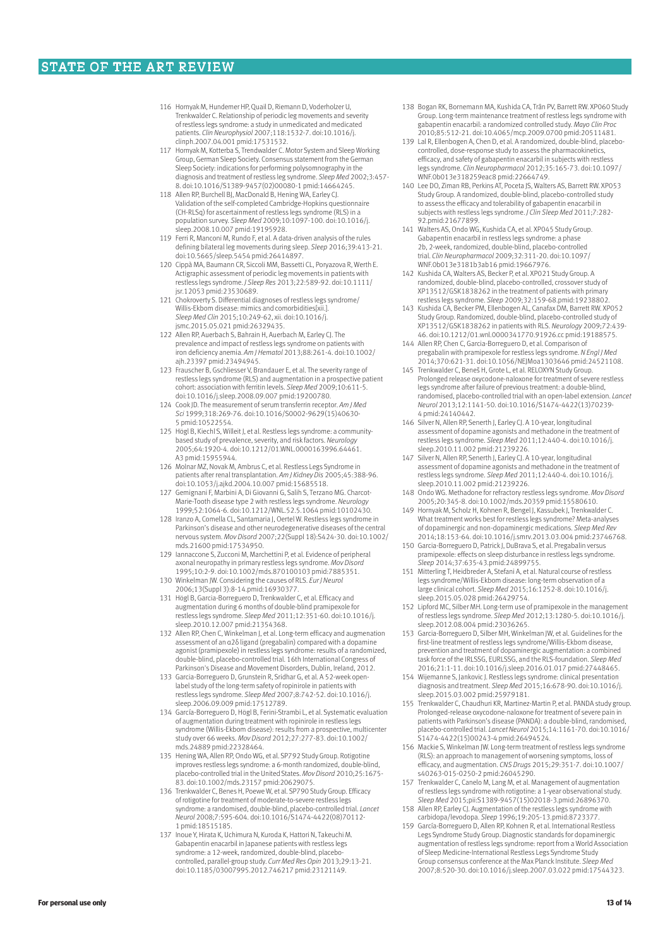- 116 Hornyak M, Hundemer HP, Quail D, Riemann D, Voderholzer U, Trenkwalder C. Relationship of periodic leg movements and severity of restless legs syndrome: a study in unmedicated and medicated patients. *Clin Neurophysiol* 2007;118:1532-7. doi:10.1016/j. clinph.2007.04.001 pmid:17531532.
- 117 Hornyak M, Kotterba S, Trendwalder C. Motor System and Sleep Working Group, German Sleep Society. Consensus statement from the German Sleep Society: indications for performing polysomnography in the diagnosis and treatment of restless leg syndrome. *Sleep Med* 2002;3:457- 8. doi:10.1016/S1389-9457(02)00080-1 pmid:14664245.
- 118 Allen RP, Burchell BJ, MacDonald B, Hening WA, Earley CJ. Validation of the self-completed Cambridge-Hopkins questionnaire (CH-RLSq) for ascertainment of restless legs syndrome (RLS) in a population survey. *Sleep Med* 2009;10:1097-100. doi:10.1016/j. sleep.2008.10.007 pmid:19195928.
- 119 Ferri R, Manconi M, Rundo F, et al. A data-driven analysis of the rules defining bilateral leg movements during sleep. *Sleep* 2016;39:413-21. doi:10.5665/sleep.5454 pmid:26414897.
- 120 Cippà MA, Baumann CR, Siccoli MM, Bassetti CL, Poryazova R, Werth E. Actigraphic assessment of periodic leg movements in patients with restless legs syndrome. *J Sleep Res* 2013;22:589-92. doi:10.1111/ jsr.12053 pmid:23530689.
- 121 Chokroverty S. Differential diagnoses of restless legs syndrome/ Willis-Ekbom disease: mimics and comorbidities[xi *Sleep Med Clin* 2015;10:249-62, xii. doi:10.1016/j. jsmc.2015.05.021 pmid:26329435.
- 122 Allen RP, Auerbach S, Bahrain H, Auerbach M, Earley CJ. The prevalence and impact of restless legs syndrome on patients with iron deficiency anemia. *Am J Hematol* 2013;88:261-4. doi:10.1002/ ajh.23397 pmid:23494945.
- 123 Frauscher B, Gschliesser V, Brandauer E, et al. The severity range of restless legs syndrome (RLS) and augmentation in a prospective patient cohort: association with ferritin levels. *Sleep Med* 2009;10:611-5. doi:10.1016/j.sleep.2008.09.007 pmid:19200780.
- 124 Cook JD. The measurement of serum transferrin receptor. *Am J Med Sci* 1999;318:269-76. doi:10.1016/S0002-9629(15)40630- 5 pmid:10522554.
- 125 Högl B, Kiechl S, Willeit J, et al. Restless legs syndrome: a community-based study of prevalence, severity, and risk factors. *Neurology* 2005;64:1920-4. doi:10.1212/01.WNL.0000163996.64461. A3 pmid:15955944.
- 126 Molnar MZ, Novak M, Ambrus C, et al. Restless Legs Syndrome in patients after renal transplantation. *Am J Kidney Dis* 2005;45:388-96. doi:10.1053/j.ajkd.2004.10.007 pmid:15685518.
- 127 Gemignani F, Marbini A, Di Giovanni G, Salih S, Terzano MG. Charcot-Marie-Tooth disease type 2 with restless legs syndrome. *Neurology* 1999;52:1064-6. doi:10.1212/WNL.52.5.1064 pmid:10102430.
- 128 Iranzo A, Comella CL, Santamaria J, Oertel W. Restless legs syndrome in Parkinson's disease and other neurodegenerative diseases of the central nervous system. *Mov Disord* 2007;22(Suppl 18):S424-30. doi:10.1002/ mds.21600 pmid:17534950.
- 129 Iannaccone S, Zucconi M, Marchettini P, et al. Evidence of peripheral axonal neuropathy in primary restless legs syndrome. *Mov Disord* 1995;10:2-9. doi:10.1002/mds.870100103 pmid:7885351.
- 130 Winkelman JW. Considering the causes of RLS. *Eur J Neurol* 2006;13(Suppl 3):8-14.pmid:16930377.
- 131 Högl B, Garcia-Borreguero D, Trenkwalder C, et al. Efficacy and augmentation during 6 months of double-blind pramipexole for restless legs syndrome. *Sleep Med* 2011;12:351-60. doi:10.1016/j. sleep.2010.12.007 pmid:21354368.
- 132 Allen RP, Chen C, Winkelman J, et al. Long-term efficacy and augmenation assessment of an α2δ ligand (pregabalin) compared with a dopamine agonist (pramipexole) in restless legs syndrome: results of a randomized, double-blind, placebo-controlled trial. 16th International Congress of Parkinson's Disease and Movement Disorders, Dublin, Ireland, 2012.
- 133 Garcia-Borreguero D, Grunstein R, Sridhar G, et al. A 52-week open-label study of the long-term safety of ropinirole in patients with restless legs syndrome. *Sleep Med* 2007;8:742-52. doi:10.1016/j. sleep.2006.09.009 pmid:17512789.
- 134 García-Borreguero D, Högl B, Ferini-Strambi L, et al. Systematic evaluation of augmentation during treatment with ropinirole in restless legs syndrome (Willis-Ekbom disease): results from a prospective, multicenter study over 66 weeks. *Mov Disord* 2012;27:277-83. doi:10.1002/ mds.24889 pmid:22328464.
- 135 Hening WA, Allen RP, Ondo WG, et al. SP792 Study Group. Rotigotine improves restless legs syndrome: a 6-month randomized, double-blind, placebo-controlled trial in the United States. *Mov Disord* 2010;25:1675- 83. doi:10.1002/mds.23157 pmid:20629075.
- 136 Trenkwalder C, Benes H, Poewe W, et al. SP790 Study Group. Efficacy of rotigotine for treatment of moderate-to-severe restless legs syndrome: a randomised, double-blind, placebo-controlled trial. *Lancet Neurol* 2008;7:595-604. doi:10.1016/S1474-4422(08)70112- 1 pmid:18515185.
- 137 Inoue Y, Hirata K, Uchimura N, Kuroda K, Hattori N, Takeuchi M. Gabapentin enacarbil in Japanese patients with restless legs syndrome: a 12-week, randomized, double-blind, placebo controlled, parallel-group study. *Curr Med Res Opin* 2013;29:13-21. doi:10.1185/03007995.2012.746217 pmid:23121149.
- 138 Bogan RK, Bornemann MA, Kushida CA, Trân PV, Barrett RW. XP060 Study Group. Long-term maintenance treatment of restless legs syndrome with gabapentin enacarbil: a randomized controlled study. *Mayo Clin Proc* 2010;85:512-21. doi:10.4065/mcp.2009.0700 pmid:20511481.
- 139 Lal R, Ellenbogen A, Chen D, et al. A randomized, double-blind, placebocontrolled, dose-response study to assess the pharmacokinetics, efficacy, and safety of gabapentin enacarbil in subjects with restless legs syndrome. *Clin Neuropharmacol* 2012;35:165-73. doi:10.1097/ WNF.0b013e318259eac8 pmid:22664749.
- 140 Lee DO, Ziman RB, Perkins AT, Poceta JS, Walters AS, Barrett RW. XP053 Study Group. A randomized, double-blind, placebo-controlled study to assess the efficacy and tolerability of gabapentin enacarbil in subjects with restless legs syndrome. *J Clin Sleep Med* 2011;7:282- 92.pmid:21677899.
- 141 Walters AS, Ondo WG, Kushida CA, et al. XP045 Study Group. Gabapentin enacarbil in restless legs syndrome: a phase 2b, 2-week, randomized, double-blind, placebo-controlled trial. *Clin Neuropharmacol* 2009;32:311-20. doi:10.1097/ WNF.0b013e3181b3ab16 pmid:19667976.
- 142 Kushida CA, Walters AS, Becker P, et al. XP021 Study Group. A randomized, double-blind, placebo-controlled, crossover study of XP13512/GSK1838262 in the treatment of patients with primary restless legs syndrome. *Sleep* 2009;32:159-68.pmid:19238802.
- 143 Kushida CA, Becker PM, Ellenbogen AL, Canafax DM, Barrett RW. XP052 Study Group. Randomized, double-blind, placebo-controlled study of XP13512/GSK1838262 in patients with RLS. *Neurology* 2009;72:439- 46. doi:10.1212/01.wnl.0000341770.91926.cc pmid:19188575.
- 144 Allen RP, Chen C, Garcia-Borreguero D, et al. Comparison of pregabalin with pramipexole for restless legs syndrome. *N Engl J Med* 2014;370:621-31. doi:10.1056/NEJMoa1303646 pmid:24521108.
- 145 Trenkwalder C, Beneš H, Grote L, et al. RELOXYN Study Group. Prolonged release oxycodone-naloxone for treatment of severe restless legs syndrome after failure of previous treatment: a double-blind, randomised, placebo-controlled trial with an open-label extension. *Lancet Neurol* 2013;12:1141-50. doi:10.1016/S1474-4422(13)70239- 4 pmid:24140442.
- 146 Silver N, Allen RP, Senerth J, Earley CJ. A 10-year, longitudinal assessment of dopamine agonists and methadone in the treatment of restless legs syndrome. *Sleep Med* 2011;12:440-4. doi:10.1016/j. sleep.2010.11.002 pmid:21239226.
- 147 Silver N, Allen RP, Senerth J, Earley CJ. A 10-year, longitudinal assessment of dopamine agonists and methadone in the treatment of restless legs syndrome. *Sleep Med* 2011;12:440-4. doi:10.1016/j. sleep.2010.11.002 pmid:21239226.
- 148 Ondo WG. Methadone for refractory restless legs syndrome. *Mov Disord* 2005;20:345-8. doi:10.1002/mds.20359 pmid:15580610.
- 149 Hornyak M, Scholz H, Kohnen R, Bengel J, Kassubek J, Trenkwalder C. What treatment works best for restless legs syndrome? Meta-analyses of dopaminergic and non-dopaminergic medications. *Sleep Med Rev* 2014;18:153-64. doi:10.1016/j.smrv.2013.03.004 pmid:23746768.
- 150 Garcia-Borreguero D, Patrick J, DuBrava S, et al. Pregabalin versus pramipexole: effects on sleep disturbance in restless legs syndrome. *Sleep* 2014;37:635-43.pmid:24899755.
- 151 Mitterling T, Heidbreder A, Stefani A, et al. Natural course of restless legs syndrome/Willis-Ekbom disease: long-term observation of a large clinical cohort. *Sleep Med* 2015;16:1252-8. doi:10.1016/j. sleep.2015.05.028 pmid:26429754.
- 152 Lipford MC, Silber MH. Long-term use of pramipexole in the management of restless legs syndrome. *Sleep Med* 2012;13:1280-5. doi:10.1016/j. sleep.2012.08.004 pmid:23036265.
- 153 Garcia-Borreguero D, Silber MH, Winkelman JW, et al. Guidelines for the first-line treatment of restless legs syndrome/Willis-Ekbom disease, prevention and treatment of dopaminergic augmentation: a combined task force of the IRLSSG, EURLSSG, and the RLS-foundation. *Sleep Med* 2016;21:1-11. doi:10.1016/j.sleep.2016.01.017 pmid:27448465.
- 154 Wijemanne S, Jankovic J. Restless legs syndrome: clinical presentation diagnosis and treatment. *Sleep Med* 2015;16:678-90. doi:10.1016/j. sleep.2015.03.002 pmid:25979181.
- 155 Trenkwalder C, Chaudhuri KR, Martinez-Martin P, et al. PANDA study group. Prolonged-release oxycodone-naloxone for treatment of severe pain in<br>patients with Parkinson's disease (PANDA): a double-blind, randomised,<br>placebo-controlled trial. *Lancet Neurol* 2015;14:1161-70. doi:10.1016/ S1474-4422(15)00243-4 pmid:26494524.
- 156 Mackie S, Winkelman JW. Long-term treatment of restless legs syndrome (RLS): an approach to management of worsening symptoms, loss of efficacy, and augmentation. *CNS Drugs* 2015;29:351-7. doi:10.1007/ s40263-015-0250-2 pmid:26045290.
- 157 Trenkwalder C, Canelo M, Lang M, et al. Management of augmentation of restless legs syndrome with rotigotine: a 1-year observational study. *Sleep Med* 2015;pii:S1389-9457(15)02018-3.pmid:26896370.
- 158 Allen RP, Earley CJ. Augmentation of the restless legs syndrome with carbidopa/levodopa. *Sleep* 1996;19:205-13.pmid:8723377.
- 159 García-Borreguero D, Allen RP, Kohnen R, et al. International Restless Legs Syndrome Study Group. Diagnostic standards for dopaminergic augmentation of restless legs syndrome: report from a World Association of Sleep Medicine-International Restless Legs Syndrome Study Group consensus conference at the Max Planck Institute. *Sleep Med* 2007;8:520-30. doi:10.1016/j.sleep.2007.03.022 pmid:17544323.